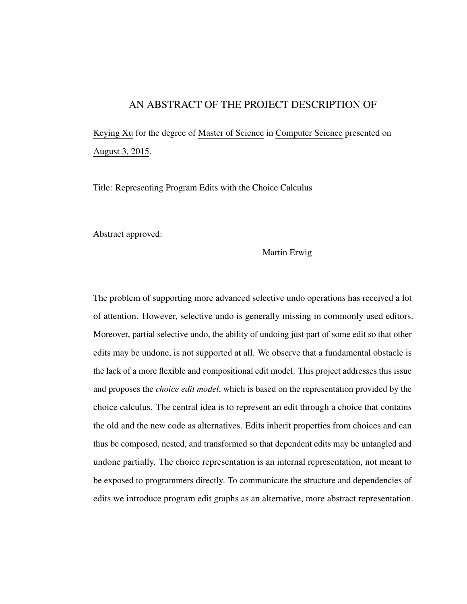## AN ABSTRACT OF THE PROJECT DESCRIPTION OF

Keying Xu for the degree of Master of Science in Computer Science presented on August 3, 2015.

Title: Representing Program Edits with the Choice Calculus

Abstract approved:

Martin Erwig

The problem of supporting more advanced selective undo operations has received a lot of attention. However, selective undo is generally missing in commonly used editors. Moreover, partial selective undo, the ability of undoing just part of some edit so that other edits may be undone, is not supported at all. We observe that a fundamental obstacle is the lack of a more flexible and compositional edit model. This project addresses this issue and proposes the *choice edit model*, which is based on the representation provided by the choice calculus. The central idea is to represent an edit through a choice that contains the old and the new code as alternatives. Edits inherit properties from choices and can thus be composed, nested, and transformed so that dependent edits may be untangled and undone partially. The choice representation is an internal representation, not meant to be exposed to programmers directly. To communicate the structure and dependencies of edits we introduce program edit graphs as an alternative, more abstract representation.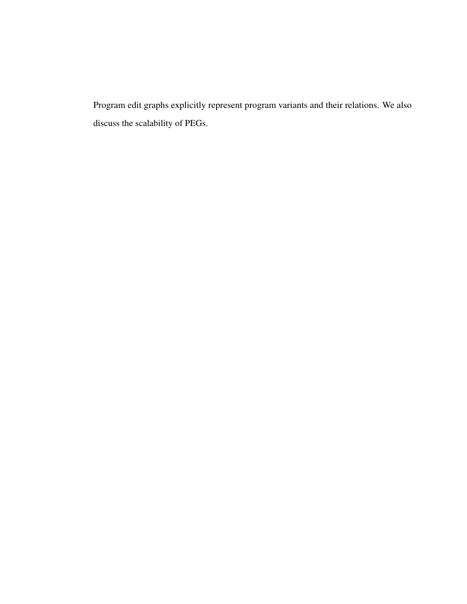Program edit graphs explicitly represent program variants and their relations. We also discuss the scalability of PEGs.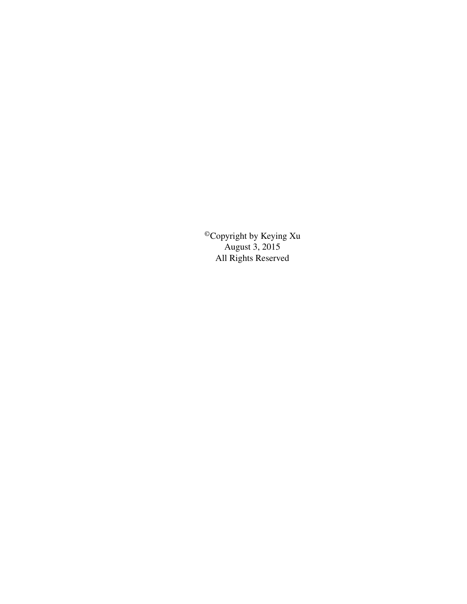©Copyright by Keying Xu August 3, 2015 All Rights Reserved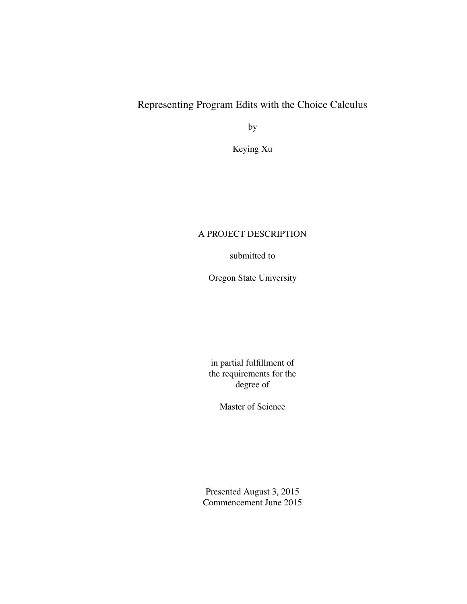## Representing Program Edits with the Choice Calculus

by

Keying Xu

### A PROJECT DESCRIPTION

submitted to

Oregon State University

in partial fulfillment of the requirements for the degree of

Master of Science

Presented August 3, 2015 Commencement June 2015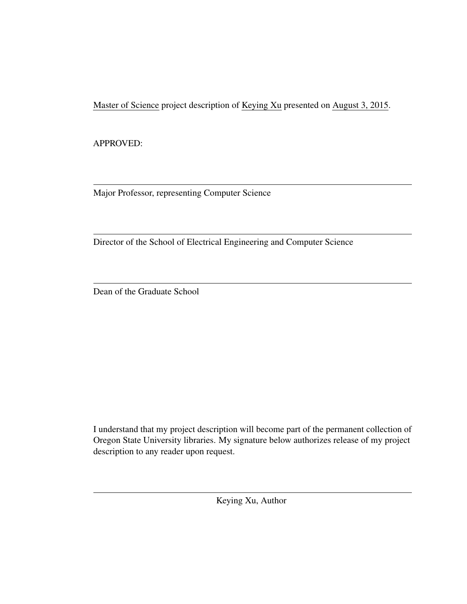Master of Science project description of Keying Xu presented on August 3, 2015.

APPROVED:

Major Professor, representing Computer Science

Director of the School of Electrical Engineering and Computer Science

Dean of the Graduate School

I understand that my project description will become part of the permanent collection of Oregon State University libraries. My signature below authorizes release of my project description to any reader upon request.

Keying Xu, Author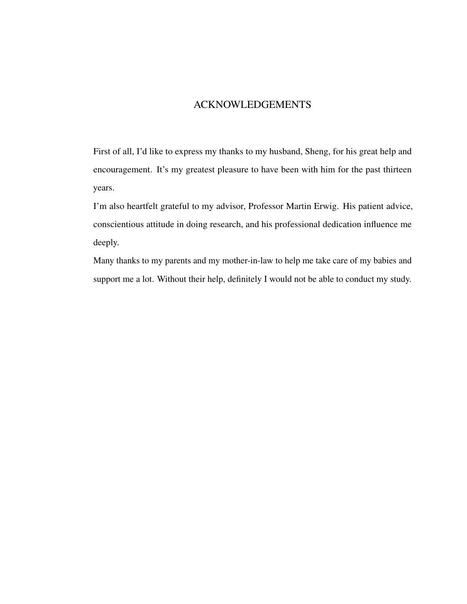## ACKNOWLEDGEMENTS

First of all, I'd like to express my thanks to my husband, Sheng, for his great help and encouragement. It's my greatest pleasure to have been with him for the past thirteen years.

I'm also heartfelt grateful to my advisor, Professor Martin Erwig. His patient advice, conscientious attitude in doing research, and his professional dedication influence me deeply.

Many thanks to my parents and my mother-in-law to help me take care of my babies and support me a lot. Without their help, definitely I would not be able to conduct my study.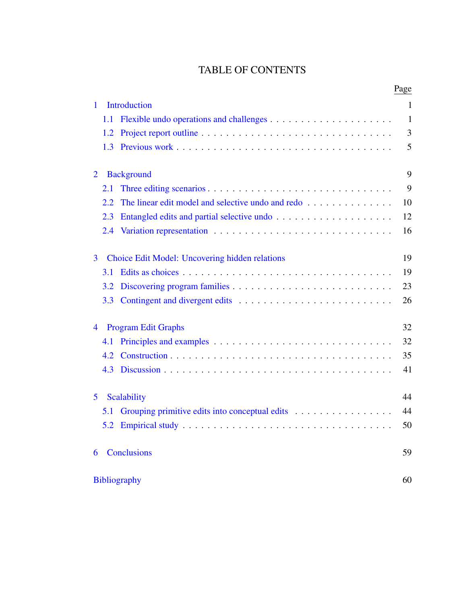## TABLE OF CONTENTS

|                |                                                          | Page         |
|----------------|----------------------------------------------------------|--------------|
| $\mathbf{1}$   | Introduction                                             | $\mathbf{1}$ |
|                | 1.1                                                      | $\mathbf{1}$ |
|                | 1.2                                                      | 3            |
|                | 1.3                                                      | 5            |
| $\overline{2}$ | <b>Background</b>                                        | 9            |
|                | 2.1                                                      | 9            |
|                | The linear edit model and selective undo and redo<br>2.2 | 10           |
|                | 2.3                                                      | 12           |
|                |                                                          | 16           |
| 3              | Choice Edit Model: Uncovering hidden relations           | 19           |
|                | 3.1                                                      | 19           |
|                | 3.2                                                      | 23           |
|                | 3.3                                                      | 26           |
| 4              | <b>Program Edit Graphs</b>                               | 32           |
|                | 4.1                                                      | 32           |
|                | 4.2                                                      | 35           |
|                | 4.3                                                      | 41           |
| 5              | Scalability                                              | 44           |
|                | 5.1                                                      | 44           |
|                |                                                          | 50           |
| 6              | <b>Conclusions</b>                                       | 59           |
|                | <b>Bibliography</b>                                      | 60           |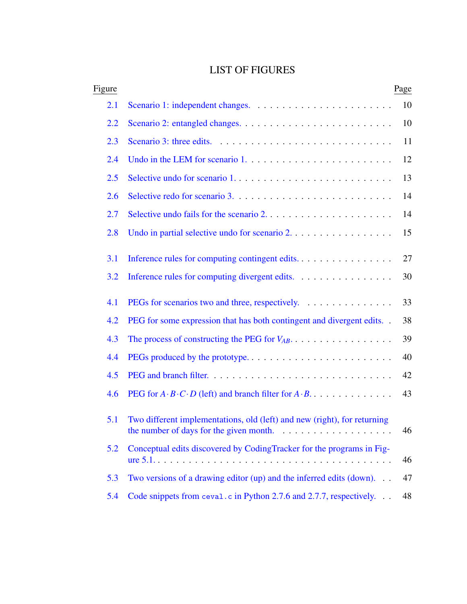# LIST OF FIGURES

| Figure |                                                                                                                                                                 | Page |
|--------|-----------------------------------------------------------------------------------------------------------------------------------------------------------------|------|
| 2.1    |                                                                                                                                                                 | 10   |
| 2.2    |                                                                                                                                                                 | 10   |
| 2.3    |                                                                                                                                                                 | 11   |
| 2.4    |                                                                                                                                                                 | 12   |
| 2.5    |                                                                                                                                                                 | 13   |
| 2.6    |                                                                                                                                                                 | 14   |
| 2.7    |                                                                                                                                                                 | 14   |
| 2.8    | Undo in partial selective undo for scenario 2.                                                                                                                  | 15   |
| 3.1    | Inference rules for computing contingent edits.                                                                                                                 | 27   |
| 3.2    | Inference rules for computing divergent edits.                                                                                                                  | 30   |
| 4.1    | PEGs for scenarios two and three, respectively.                                                                                                                 | 33   |
| 4.2    | PEG for some expression that has both contingent and divergent edits                                                                                            | 38   |
| 4.3    |                                                                                                                                                                 | 39   |
| 4.4    | PEGs produced by the prototype                                                                                                                                  | 40   |
| 4.5    |                                                                                                                                                                 | 42   |
| 4.6    | PEG for $A \cdot B \cdot C \cdot D$ (left) and branch filter for $A \cdot B$                                                                                    | 43   |
| 5.1    | Two different implementations, old (left) and new (right), for returning<br>the number of days for the given month. $\ldots \ldots \ldots \ldots \ldots \ldots$ | 46   |
| 5.2    | Conceptual edits discovered by CodingTracker for the programs in Fig-                                                                                           | 46   |
| 5.3    | Two versions of a drawing editor $(up)$ and the inferred edits $(down)$                                                                                         | 47   |
| 5.4    | Code snippets from ceval.c in Python 2.7.6 and 2.7.7, respectively.                                                                                             | 48   |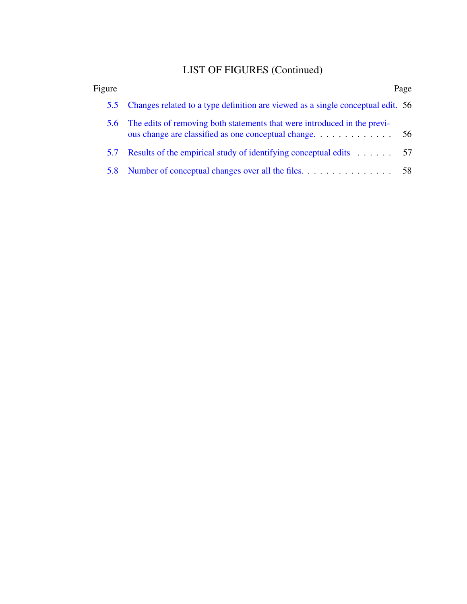# LIST OF FIGURES (Continued)

| Figure |                                                                                 | Page |
|--------|---------------------------------------------------------------------------------|------|
| 5.5    | Changes related to a type definition are viewed as a single conceptual edit. 56 |      |
|        | 5.6 The edits of removing both statements that were introduced in the previ-    |      |
| 5.7    | Results of the empirical study of identifying conceptual edits $\dots \dots$ 57 |      |
|        |                                                                                 | 58   |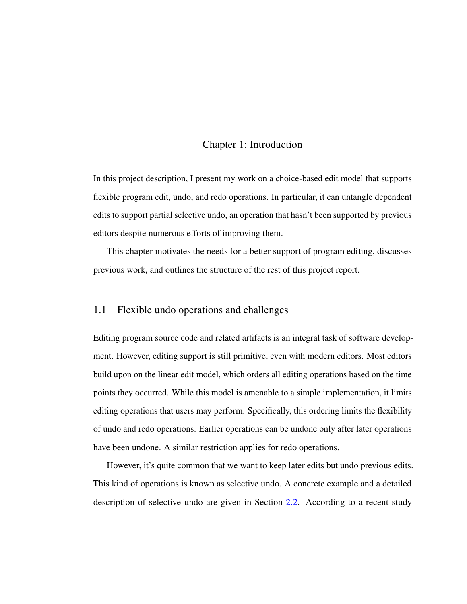#### Chapter 1: Introduction

<span id="page-10-0"></span>In this project description, I present my work on a choice-based edit model that supports flexible program edit, undo, and redo operations. In particular, it can untangle dependent edits to support partial selective undo, an operation that hasn't been supported by previous editors despite numerous efforts of improving them.

This chapter motivates the needs for a better support of program editing, discusses previous work, and outlines the structure of the rest of this project report.

#### <span id="page-10-1"></span>1.1 Flexible undo operations and challenges

Editing program source code and related artifacts is an integral task of software development. However, editing support is still primitive, even with modern editors. Most editors build upon on the linear edit model, which orders all editing operations based on the time points they occurred. While this model is amenable to a simple implementation, it limits editing operations that users may perform. Specifically, this ordering limits the flexibility of undo and redo operations. Earlier operations can be undone only after later operations have been undone. A similar restriction applies for redo operations.

However, it's quite common that we want to keep later edits but undo previous edits. This kind of operations is known as selective undo. A concrete example and a detailed description of selective undo are given in Section [2.2.](#page-19-0) According to a recent study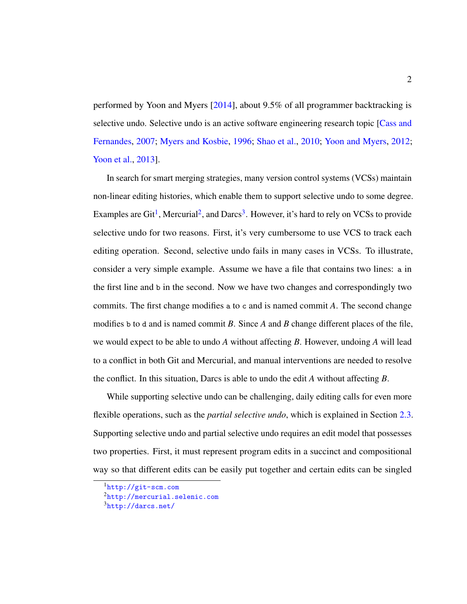performed by Yoon and Myers [\[2014\]](#page-73-0), about 9.5% of all programmer backtracking is selective undo. Selective undo is an active software engineering research topic [\[Cass and](#page-70-0) [Fernandes,](#page-70-0) [2007;](#page-70-0) [Myers and Kosbie,](#page-71-0) [1996;](#page-71-0) [Shao et al.,](#page-72-0) [2010;](#page-72-0) [Yoon and Myers,](#page-73-1) [2012;](#page-73-1) [Yoon et al.,](#page-73-2) [2013\]](#page-73-2).

In search for smart merging strategies, many version control systems (VCSs) maintain non-linear editing histories, which enable them to support selective undo to some degree. Examples are  $\text{Git}^1$  $\text{Git}^1$ , Mercurial<sup>[2](#page-11-1)</sup>, and Darcs<sup>[3](#page-11-2)</sup>. However, it's hard to rely on VCSs to provide selective undo for two reasons. First, it's very cumbersome to use VCS to track each editing operation. Second, selective undo fails in many cases in VCSs. To illustrate, consider a very simple example. Assume we have a file that contains two lines: a in the first line and b in the second. Now we have two changes and correspondingly two commits. The first change modifies a to c and is named commit *A*. The second change modifies b to d and is named commit *B*. Since *A* and *B* change different places of the file, we would expect to be able to undo *A* without affecting *B*. However, undoing *A* will lead to a conflict in both Git and Mercurial, and manual interventions are needed to resolve the conflict. In this situation, Darcs is able to undo the edit *A* without affecting *B*.

While supporting selective undo can be challenging, daily editing calls for even more flexible operations, such as the *partial selective undo*, which is explained in Section [2.3.](#page-21-0) Supporting selective undo and partial selective undo requires an edit model that possesses two properties. First, it must represent program edits in a succinct and compositional way so that different edits can be easily put together and certain edits can be singled

<span id="page-11-0"></span><sup>1</sup><http://git-scm.com>

<span id="page-11-1"></span><sup>2</sup><http://mercurial.selenic.com>

<span id="page-11-2"></span> $3$ <http://darcs.net/>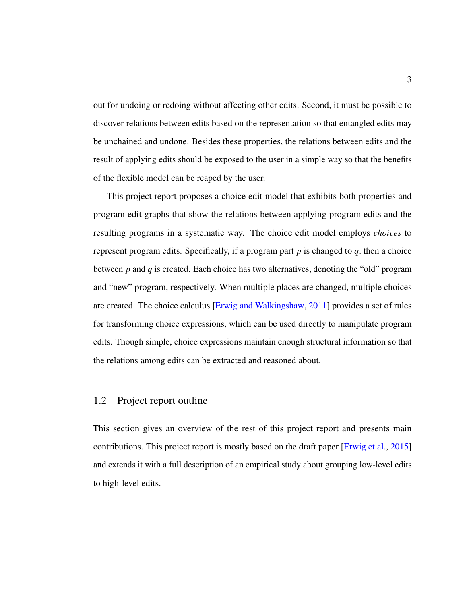out for undoing or redoing without affecting other edits. Second, it must be possible to discover relations between edits based on the representation so that entangled edits may be unchained and undone. Besides these properties, the relations between edits and the result of applying edits should be exposed to the user in a simple way so that the benefits of the flexible model can be reaped by the user.

This project report proposes a choice edit model that exhibits both properties and program edit graphs that show the relations between applying program edits and the resulting programs in a systematic way. The choice edit model employs *choices* to represent program edits. Specifically, if a program part *p* is changed to *q*, then a choice between *p* and *q* is created. Each choice has two alternatives, denoting the "old" program and "new" program, respectively. When multiple places are changed, multiple choices are created. The choice calculus [\[Erwig and Walkingshaw,](#page-70-1) [2011\]](#page-70-1) provides a set of rules for transforming choice expressions, which can be used directly to manipulate program edits. Though simple, choice expressions maintain enough structural information so that the relations among edits can be extracted and reasoned about.

### <span id="page-12-0"></span>1.2 Project report outline

This section gives an overview of the rest of this project report and presents main contributions. This project report is mostly based on the draft paper [\[Erwig et al.,](#page-71-1) [2015\]](#page-71-1) and extends it with a full description of an empirical study about grouping low-level edits to high-level edits.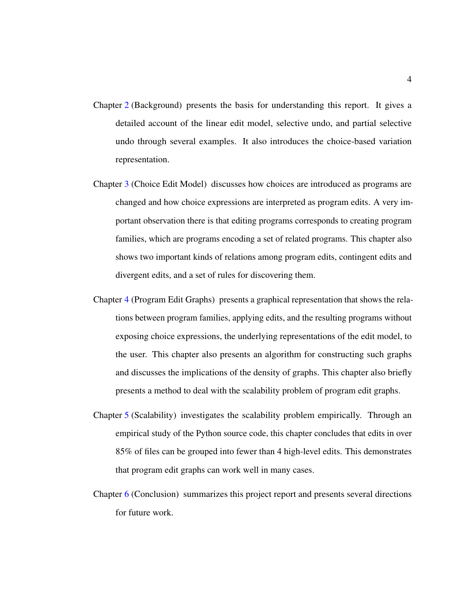- Chapter [2](#page-18-0) (Background) presents the basis for understanding this report. It gives a detailed account of the linear edit model, selective undo, and partial selective undo through several examples. It also introduces the choice-based variation representation.
- Chapter [3](#page-28-0) (Choice Edit Model) discusses how choices are introduced as programs are changed and how choice expressions are interpreted as program edits. A very important observation there is that editing programs corresponds to creating program families, which are programs encoding a set of related programs. This chapter also shows two important kinds of relations among program edits, contingent edits and divergent edits, and a set of rules for discovering them.
- Chapter [4](#page-41-0) (Program Edit Graphs) presents a graphical representation that shows the relations between program families, applying edits, and the resulting programs without exposing choice expressions, the underlying representations of the edit model, to the user. This chapter also presents an algorithm for constructing such graphs and discusses the implications of the density of graphs. This chapter also briefly presents a method to deal with the scalability problem of program edit graphs.
- Chapter [5](#page-53-0) (Scalability) investigates the scalability problem empirically. Through an empirical study of the Python source code, this chapter concludes that edits in over 85% of files can be grouped into fewer than 4 high-level edits. This demonstrates that program edit graphs can work well in many cases.
- Chapter [6](#page-68-0) (Conclusion) summarizes this project report and presents several directions for future work.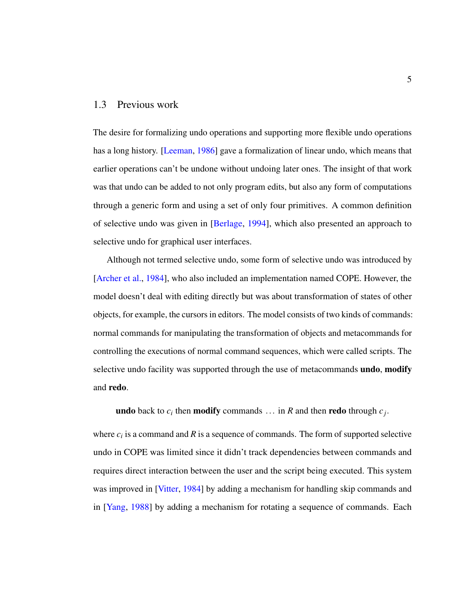#### <span id="page-14-0"></span>1.3 Previous work

The desire for formalizing undo operations and supporting more flexible undo operations has a long history. [\[Leeman,](#page-71-2) [1986\]](#page-71-2) gave a formalization of linear undo, which means that earlier operations can't be undone without undoing later ones. The insight of that work was that undo can be added to not only program edits, but also any form of computations through a generic form and using a set of only four primitives. A common definition of selective undo was given in [\[Berlage,](#page-70-2) [1994\]](#page-70-2), which also presented an approach to selective undo for graphical user interfaces.

Although not termed selective undo, some form of selective undo was introduced by [\[Archer et al.,](#page-70-3) [1984\]](#page-70-3), who also included an implementation named COPE. However, the model doesn't deal with editing directly but was about transformation of states of other objects, for example, the cursors in editors. The model consists of two kinds of commands: normal commands for manipulating the transformation of objects and metacommands for controlling the executions of normal command sequences, which were called scripts. The selective undo facility was supported through the use of metacommands **undo**, modify and redo.

**undo** back to  $c_i$  then **modify** commands ... in  $R$  and then **redo** through  $c_j$ .

where  $c_i$  is a command and  $R$  is a sequence of commands. The form of supported selective undo in COPE was limited since it didn't track dependencies between commands and requires direct interaction between the user and the script being executed. This system was improved in [\[Vitter,](#page-72-1) [1984\]](#page-72-1) by adding a mechanism for handling skip commands and in [\[Yang,](#page-72-2) [1988\]](#page-72-2) by adding a mechanism for rotating a sequence of commands. Each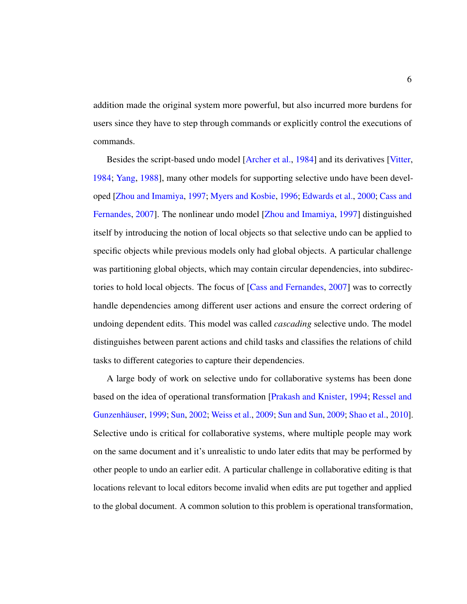addition made the original system more powerful, but also incurred more burdens for users since they have to step through commands or explicitly control the executions of commands.

Besides the script-based undo model [\[Archer et al.,](#page-70-3) [1984\]](#page-70-3) and its derivatives [\[Vitter,](#page-72-1) [1984;](#page-72-1) [Yang,](#page-72-2) [1988\]](#page-72-2), many other models for supporting selective undo have been developed [\[Zhou and Imamiya,](#page-73-3) [1997;](#page-73-3) [Myers and Kosbie,](#page-71-0) [1996;](#page-71-0) [Edwards et al.,](#page-70-4) [2000;](#page-70-4) [Cass and](#page-70-0) [Fernandes,](#page-70-0) [2007\]](#page-70-0). The nonlinear undo model [\[Zhou and Imamiya,](#page-73-3) [1997\]](#page-73-3) distinguished itself by introducing the notion of local objects so that selective undo can be applied to specific objects while previous models only had global objects. A particular challenge was partitioning global objects, which may contain circular dependencies, into subdirectories to hold local objects. The focus of [\[Cass and Fernandes,](#page-70-0) [2007\]](#page-70-0) was to correctly handle dependencies among different user actions and ensure the correct ordering of undoing dependent edits. This model was called *cascading* selective undo. The model distinguishes between parent actions and child tasks and classifies the relations of child tasks to different categories to capture their dependencies.

A large body of work on selective undo for collaborative systems has been done based on the idea of operational transformation [\[Prakash and Knister,](#page-72-3) [1994;](#page-72-3) [Ressel and](#page-72-4) Gunzenhäuser, [1999;](#page-72-4) [Sun,](#page-72-5) [2002;](#page-72-5) [Weiss et al.,](#page-72-6) [2009;](#page-72-7) [Sun and Sun,](#page-72-7) 2009; [Shao et al.,](#page-72-0) [2010\]](#page-72-0). Selective undo is critical for collaborative systems, where multiple people may work on the same document and it's unrealistic to undo later edits that may be performed by other people to undo an earlier edit. A particular challenge in collaborative editing is that locations relevant to local editors become invalid when edits are put together and applied to the global document. A common solution to this problem is operational transformation,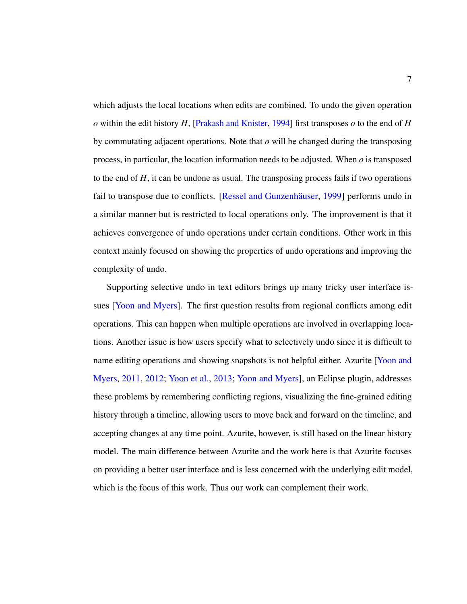which adjusts the local locations when edits are combined. To undo the given operation  $\alpha$  within the edit history *H*, [\[Prakash and Knister,](#page-72-3) [1994\]](#page-72-3) first transposes  $\alpha$  to the end of *H* by commutating adjacent operations. Note that *o* will be changed during the transposing process, in particular, the location information needs to be adjusted. When *o* is transposed to the end of *H*, it can be undone as usual. The transposing process fails if two operations fail to transpose due to conflicts. [Ressel and Gunzenhäuser, [1999\]](#page-72-4) performs undo in a similar manner but is restricted to local operations only. The improvement is that it achieves convergence of undo operations under certain conditions. Other work in this context mainly focused on showing the properties of undo operations and improving the complexity of undo.

Supporting selective undo in text editors brings up many tricky user interface issues [\[Yoon and Myers\]](#page-72-8). The first question results from regional conflicts among edit operations. This can happen when multiple operations are involved in overlapping locations. Another issue is how users specify what to selectively undo since it is difficult to name editing operations and showing snapshots is not helpful either. Azurite [\[Yoon and](#page-73-4) [Myers,](#page-73-4) [2011,](#page-73-4) [2012;](#page-73-1) [Yoon et al.,](#page-73-2) [2013;](#page-73-2) [Yoon and Myers\]](#page-72-8), an Eclipse plugin, addresses these problems by remembering conflicting regions, visualizing the fine-grained editing history through a timeline, allowing users to move back and forward on the timeline, and accepting changes at any time point. Azurite, however, is still based on the linear history model. The main difference between Azurite and the work here is that Azurite focuses on providing a better user interface and is less concerned with the underlying edit model, which is the focus of this work. Thus our work can complement their work.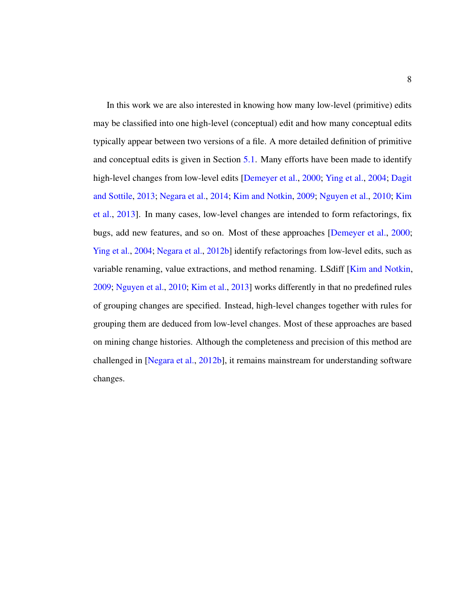In this work we are also interested in knowing how many low-level (primitive) edits may be classified into one high-level (conceptual) edit and how many conceptual edits typically appear between two versions of a file. A more detailed definition of primitive and conceptual edits is given in Section [5.1.](#page-53-1) Many efforts have been made to identify high-level changes from low-level edits [\[Demeyer et al.,](#page-70-5) [2000;](#page-70-5) [Ying et al.,](#page-72-9) [2004;](#page-72-9) [Dagit](#page-70-6) [and Sottile,](#page-70-6) [2013;](#page-70-6) [Negara et al.,](#page-71-3) [2014;](#page-71-3) [Kim and Notkin,](#page-71-4) [2009;](#page-71-4) [Nguyen et al.,](#page-72-10) [2010;](#page-72-10) [Kim](#page-71-5) [et al.,](#page-71-5) [2013\]](#page-71-5). In many cases, low-level changes are intended to form refactorings, fix bugs, add new features, and so on. Most of these approaches [\[Demeyer et al.,](#page-70-5) [2000;](#page-70-5) [Ying et al.,](#page-72-9) [2004;](#page-72-9) [Negara et al.,](#page-71-6) [2012b\]](#page-71-6) identify refactorings from low-level edits, such as variable renaming, value extractions, and method renaming. LSdiff [\[Kim and Notkin,](#page-71-4) [2009;](#page-71-4) [Nguyen et al.,](#page-72-10) [2010;](#page-72-10) [Kim et al.,](#page-71-5) [2013\]](#page-71-5) works differently in that no predefined rules of grouping changes are specified. Instead, high-level changes together with rules for grouping them are deduced from low-level changes. Most of these approaches are based on mining change histories. Although the completeness and precision of this method are challenged in [\[Negara et al.,](#page-71-6) [2012b\]](#page-71-6), it remains mainstream for understanding software changes.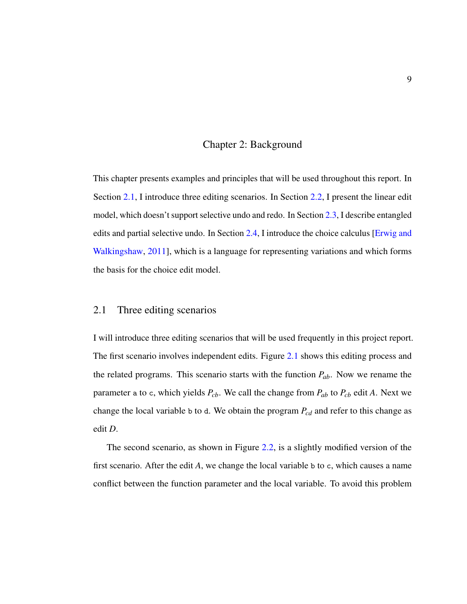#### Chapter 2: Background

<span id="page-18-0"></span>This chapter presents examples and principles that will be used throughout this report. In Section [2.1,](#page-18-1) I introduce three editing scenarios. In Section [2.2,](#page-19-0) I present the linear edit model, which doesn't support selective undo and redo. In Section [2.3,](#page-21-0) I describe entangled edits and partial selective undo. In Section [2.4,](#page-25-0) I introduce the choice calculus [\[Erwig and](#page-70-1) [Walkingshaw,](#page-70-1) [2011\]](#page-70-1), which is a language for representing variations and which forms the basis for the choice edit model.

#### <span id="page-18-1"></span>2.1 Three editing scenarios

I will introduce three editing scenarios that will be used frequently in this project report. The first scenario involves independent edits. Figure [2.1](#page-19-1) shows this editing process and the related programs. This scenario starts with the function *Pab*. Now we rename the parameter a to c, which yields  $P_{cb}$ . We call the change from  $P_{ab}$  to  $P_{cb}$  edit A. Next we change the local variable b to d. We obtain the program *Pcd* and refer to this change as edit *D*.

The second scenario, as shown in Figure [2.2,](#page-19-2) is a slightly modified version of the first scenario. After the edit *A*, we change the local variable b to c, which causes a name conflict between the function parameter and the local variable. To avoid this problem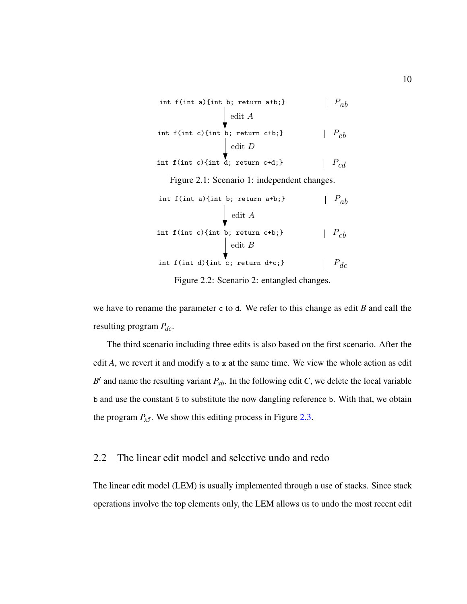<span id="page-19-2"></span><span id="page-19-1"></span>

| int f(int a){int b; return a+b;}             | $ P_{ab}$       |
|----------------------------------------------|-----------------|
| edit $A$                                     |                 |
| int f(int c){int b; return c+b;}             | $\mid P_{cb}$   |
| $\int$ edit D                                |                 |
| int f(int c){int d; return c+d;}             | $ P_{cd} $      |
| Figure 2.1: Scenario 1: independent changes. |                 |
| int $f(int a)$ {int b; return $a+b$ ;}       | $  P_{ab}$      |
| edit $A$                                     |                 |
| int $f(int c)$ {int b; return $c+b$ ;}       | $ \  \  P_{cb}$ |
| $\int$ edit B                                |                 |
| int f(int d) {int c; return d+c;}            | $P_{dc}$        |

Figure 2.2: Scenario 2: entangled changes.

we have to rename the parameter c to d. We refer to this change as edit *B* and call the resulting program *Pdc*.

The third scenario including three edits is also based on the first scenario. After the edit *A*, we revert it and modify a to x at the same time. We view the whole action as edit *B*<sup> $\prime$ </sup> and name the resulting variant  $P_{xb}$ . In the following edit *C*, we delete the local variable b and use the constant 5 to substitute the now dangling reference b. With that, we obtain the program  $P_{x5}$ . We show this editing process in Figure [2.3.](#page-20-0)

## <span id="page-19-0"></span>2.2 The linear edit model and selective undo and redo

The linear edit model (LEM) is usually implemented through a use of stacks. Since stack operations involve the top elements only, the LEM allows us to undo the most recent edit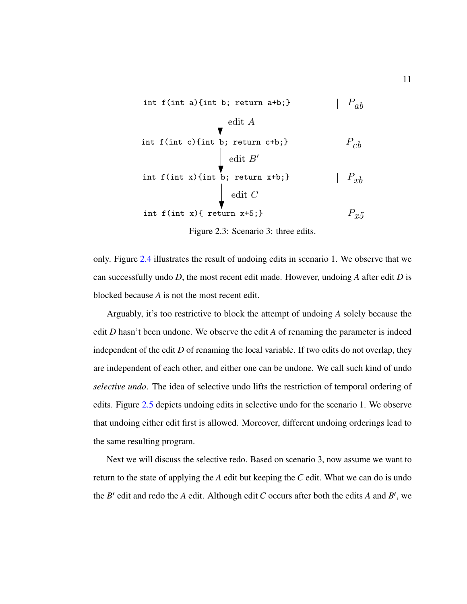<span id="page-20-0"></span>int f(int a) {int b; return a+b;} 
$$
\downarrow
$$
 P<sub>ab</sub>  
\nedit A  
\nint f(int c) {int b; return c+b;}  $\downarrow$  P<sub>cb</sub>  
\nedit B'  
\nint f(int x) {int b; return x+b;}  $\downarrow$  P<sub>xb</sub>  
\nedit C  
\nint f(int x) { return x+5;}  $\downarrow$  P<sub>xf</sub>

Figure 2.3: Scenario 3: three edits.

only. Figure [2.4](#page-21-1) illustrates the result of undoing edits in scenario 1. We observe that we can successfully undo *D*, the most recent edit made. However, undoing *A* after edit *D* is blocked because *A* is not the most recent edit.

Arguably, it's too restrictive to block the attempt of undoing *A* solely because the edit *D* hasn't been undone. We observe the edit *A* of renaming the parameter is indeed independent of the edit *D* of renaming the local variable. If two edits do not overlap, they are independent of each other, and either one can be undone. We call such kind of undo *selective undo*. The idea of selective undo lifts the restriction of temporal ordering of edits. Figure [2.5](#page-22-0) depicts undoing edits in selective undo for the scenario 1. We observe that undoing either edit first is allowed. Moreover, different undoing orderings lead to the same resulting program.

Next we will discuss the selective redo. Based on scenario 3, now assume we want to return to the state of applying the *A* edit but keeping the *C* edit. What we can do is undo the *B*′ edit and redo the *A* edit. Although edit *C* occurs after both the edits *A* and *B*′ , we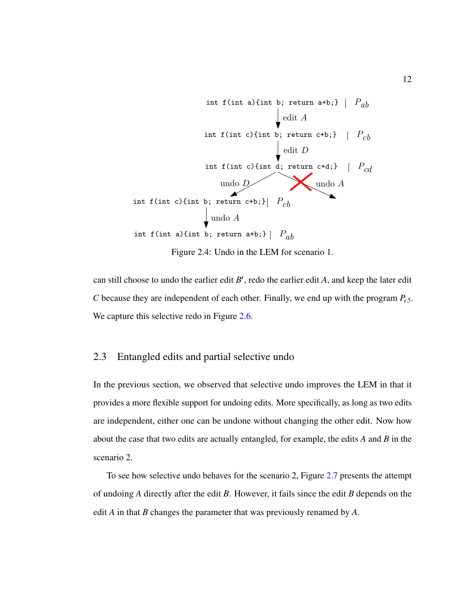<span id="page-21-1"></span>

Figure 2.4: Undo in the LEM for scenario 1.

can still choose to undo the earlier edit *B*′ , redo the earlier edit *A*, and keep the later edit *C* because they are independent of each other. Finally, we end up with the program *Pc5*. We capture this selective redo in Figure [2.6.](#page-23-0)

#### <span id="page-21-0"></span>2.3 Entangled edits and partial selective undo

In the previous section, we observed that selective undo improves the LEM in that it provides a more flexible support for undoing edits. More specifically, as long as two edits are independent, either one can be undone without changing the other edit. Now how about the case that two edits are actually entangled, for example, the edits *A* and *B* in the scenario 2.

To see how selective undo behaves for the scenario 2, Figure [2.7](#page-23-1) presents the attempt of undoing *A* directly after the edit *B*. However, it fails since the edit *B* depends on the edit *A* in that *B* changes the parameter that was previously renamed by *A*.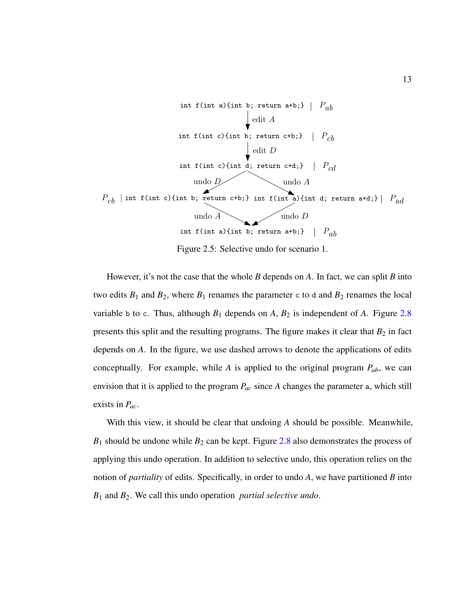<span id="page-22-0"></span>

However, it's not the case that the whole *B* depends on *A*. In fact, we can split *B* into two edits  $B_1$  and  $B_2$ , where  $B_1$  renames the parameter c to d and  $B_2$  renames the local variable b to c. Thus, although  $B_1$  depends on  $A$ ,  $B_2$  is independent of  $A$ . Figure [2.8](#page-24-0) presents this split and the resulting programs. The figure makes it clear that  $B_2$  in fact depends on *A*. In the figure, we use dashed arrows to denote the applications of edits conceptually. For example, while *A* is applied to the original program *Pab*, we can envision that it is applied to the program *Pac* since *A* changes the parameter a, which still exists in *Pac*.

With this view, it should be clear that undoing *A* should be possible. Meanwhile,  $B_1$  should be undone while  $B_2$  can be kept. Figure [2.8](#page-24-0) also demonstrates the process of applying this undo operation. In addition to selective undo, this operation relies on the notion of *partiality* of edits. Specifically, in order to undo *A*, we have partitioned *B* into *B*<sup>1</sup> and *B*2. We call this undo operation *partial selective undo*.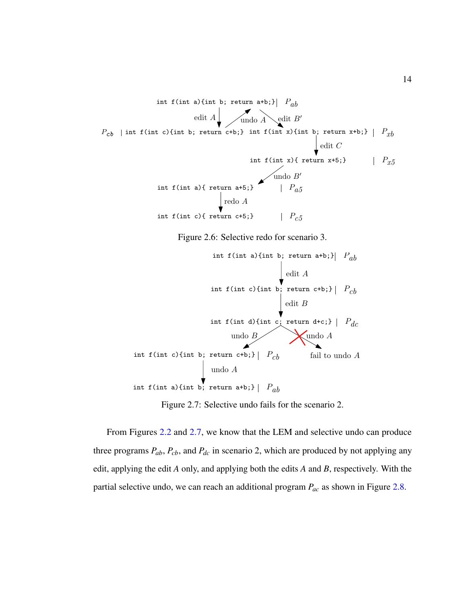<span id="page-23-0"></span>

Figure 2.6: Selective redo for scenario 3.

<span id="page-23-1"></span>

Figure 2.7: Selective undo fails for the scenario 2.

From Figures [2.2](#page-19-2) and [2.7,](#page-23-1) we know that the LEM and selective undo can produce three programs *Pab*, *Pcb*, and *Pdc* in scenario 2, which are produced by not applying any edit, applying the edit *A* only, and applying both the edits *A* and *B*, respectively. With the partial selective undo, we can reach an additional program *Pac* as shown in Figure [2.8.](#page-24-0)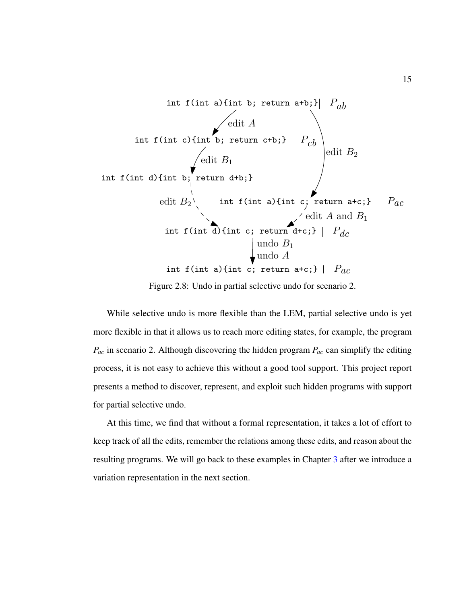<span id="page-24-0"></span>

Figure 2.8: Undo in partial selective undo for scenario 2.

While selective undo is more flexible than the LEM, partial selective undo is yet more flexible in that it allows us to reach more editing states, for example, the program *Pac* in scenario 2. Although discovering the hidden program *Pac* can simplify the editing process, it is not easy to achieve this without a good tool support. This project report presents a method to discover, represent, and exploit such hidden programs with support for partial selective undo.

At this time, we find that without a formal representation, it takes a lot of effort to keep track of all the edits, remember the relations among these edits, and reason about the resulting programs. We will go back to these examples in Chapter [3](#page-28-0) after we introduce a variation representation in the next section.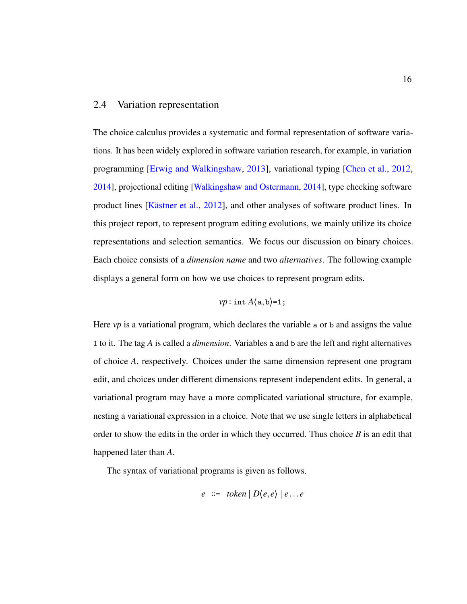## <span id="page-25-0"></span>2.4 Variation representation

The choice calculus provides a systematic and formal representation of software variations. It has been widely explored in software variation research, for example, in variation programming [\[Erwig and Walkingshaw,](#page-71-7) [2013\]](#page-71-7), variational typing [\[Chen et al.,](#page-70-7) [2012,](#page-70-7) [2014\]](#page-70-8), projectional editing [\[Walkingshaw and Ostermann,](#page-72-11) [2014\]](#page-72-11), type checking software product lines [Kästner et al., [2012\]](#page-71-8), and other analyses of software product lines. In this project report, to represent program editing evolutions, we mainly utilize its choice representations and selection semantics. We focus our discussion on binary choices. Each choice consists of a *dimension name* and two *alternatives*. The following example displays a general form on how we use choices to represent program edits.

$$
vp:\mathtt{int}\,A\langle \mathtt{a},\mathtt{b} \rangle\texttt{=1};
$$

Here *vp* is a variational program, which declares the variable a or b and assigns the value 1 to it. The tag *A* is called a *dimension*. Variables a and b are the left and right alternatives of choice *A*, respectively. Choices under the same dimension represent one program edit, and choices under different dimensions represent independent edits. In general, a variational program may have a more complicated variational structure, for example, nesting a variational expression in a choice. Note that we use single letters in alphabetical order to show the edits in the order in which they occurred. Thus choice *B* is an edit that happened later than *A*.

The syntax of variational programs is given as follows.

$$
e ::= token | D\langle e, e \rangle | e...e
$$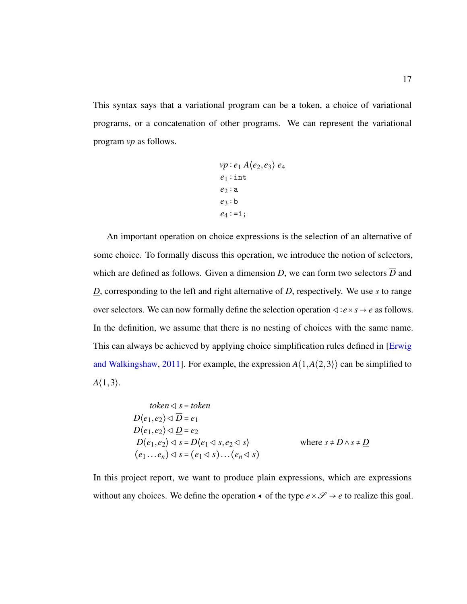This syntax says that a variational program can be a token, a choice of variational programs, or a concatenation of other programs. We can represent the variational program *vp* as follows.

$$
vp: e_1 A\langle e_2, e_3 \rangle e_4
$$
  

$$
e_1: \text{int}
$$
  

$$
e_2: a
$$
  

$$
e_3: b
$$
  

$$
e_4: =1;
$$

An important operation on choice expressions is the selection of an alternative of some choice. To formally discuss this operation, we introduce the notion of selectors, which are defined as follows. Given a dimension *D*, we can form two selectors  $\overline{D}$  and *D*, corresponding to the left and right alternative of *D*, respectively. We use *s* to range over selectors. We can now formally define the selection operation ◁∶*e*×*s* → *e* as follows. In the definition, we assume that there is no nesting of choices with the same name. This can always be achieved by applying choice simplification rules defined in [*Erwig*] [and Walkingshaw,](#page-70-1) [2011\]](#page-70-1). For example, the expression  $A(1, A(2,3))$  can be simplified to  $A(1,3)$ .

\n
$$
\begin{aligned}\n & \text{token} \triangleleft s = \text{token} \\
 & D\langle e_1, e_2 \rangle \triangleleft \overline{D} = e_1 \\
 & D\langle e_1, e_2 \rangle \triangleleft \underline{D} = e_2 \\
 & D\langle e_1, e_2 \rangle \triangleleft s = D\langle e_1 \triangleleft s, e_2 \triangleleft s \rangle \\
 & (e_1 \dots e_n) \triangleleft s = (e_1 \triangleleft s) \dots (e_n \triangleleft s)\n \end{aligned}\n \right)
$$
\n

\n\n
$$
\text{where } s \neq \overline{D} \wedge s \neq \underline{D}
$$
\n

In this project report, we want to produce plain expressions, which are expressions without any choices. We define the operation  $\triangleleft$  of the type  $e \times \mathcal{S} \rightarrow e$  to realize this goal.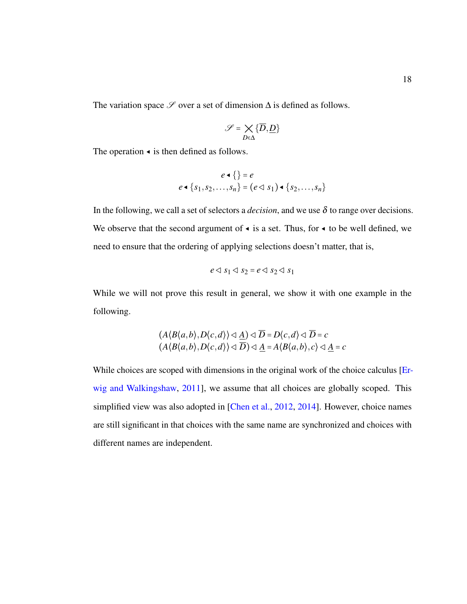The variation space  $\mathscr S$  over a set of dimension  $\Delta$  is defined as follows.

$$
\mathcal{S}=\underset{D\in\Delta}{\times}\{\overline{D},\underline{D}\}
$$

The operation ◂ is then defined as follows.

$$
e \triangleleft \{ \} = e
$$
  

$$
e \triangleleft \{ s_1, s_2, \dots, s_n \} = (e \triangleleft s_1) \triangleleft \{ s_2, \dots, s_n \}
$$

In the following, we call a set of selectors a *decision*, and we use  $\delta$  to range over decisions. We observe that the second argument of  $\triangleleft$  is a set. Thus, for  $\triangleleft$  to be well defined, we need to ensure that the ordering of applying selections doesn't matter, that is,

$$
e \triangleleft s_1 \triangleleft s_2 = e \triangleleft s_2 \triangleleft s_1
$$

While we will not prove this result in general, we show it with one example in the following.

$$
(A\langle B\langle a,b\rangle,D\langle c,d\rangle) \triangleleft \underline{A}) \triangleleft \overline{D} = D\langle c,d\rangle \triangleleft \overline{D} = c
$$
  

$$
(A\langle B\langle a,b\rangle,D\langle c,d\rangle) \triangleleft \overline{D}) \triangleleft \underline{A} = A\langle B\langle a,b\rangle,c\rangle \triangleleft \underline{A} = c
$$

While choices are scoped with dimensions in the original work of the choice calculus [\[Er](#page-70-1)[wig and Walkingshaw,](#page-70-1) [2011\]](#page-70-1), we assume that all choices are globally scoped. This simplified view was also adopted in [\[Chen et al.,](#page-70-7) [2012,](#page-70-7) [2014\]](#page-70-8). However, choice names are still significant in that choices with the same name are synchronized and choices with different names are independent.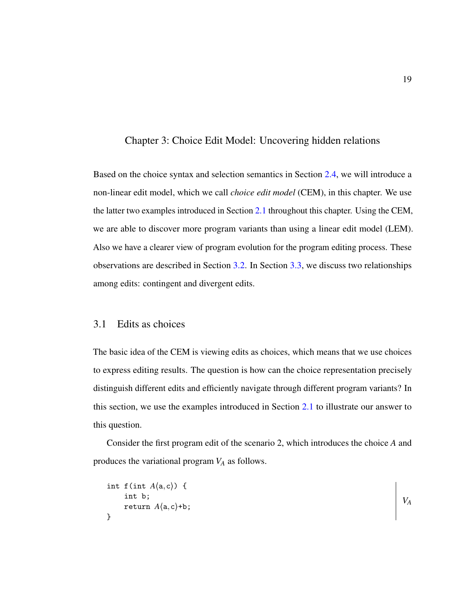#### <span id="page-28-0"></span>Chapter 3: Choice Edit Model: Uncovering hidden relations

Based on the choice syntax and selection semantics in Section [2.4,](#page-25-0) we will introduce a non-linear edit model, which we call *choice edit model* (CEM), in this chapter. We use the latter two examples introduced in Section [2.1](#page-18-1) throughout this chapter. Using the CEM, we are able to discover more program variants than using a linear edit model (LEM). Also we have a clearer view of program evolution for the program editing process. These observations are described in Section [3.2.](#page-32-0) In Section [3.3,](#page-35-0) we discuss two relationships among edits: contingent and divergent edits.

## <span id="page-28-1"></span>3.1 Edits as choices

The basic idea of the CEM is viewing edits as choices, which means that we use choices to express editing results. The question is how can the choice representation precisely distinguish different edits and efficiently navigate through different program variants? In this section, we use the examples introduced in Section [2.1](#page-18-1) to illustrate our answer to this question.

Consider the first program edit of the scenario 2, which introduces the choice *A* and produces the variational program *V<sup>A</sup>* as follows.

```
int f(int A(a, c)) {
    int b;
    return A(a, c) + b;
}
                                                                              VA
```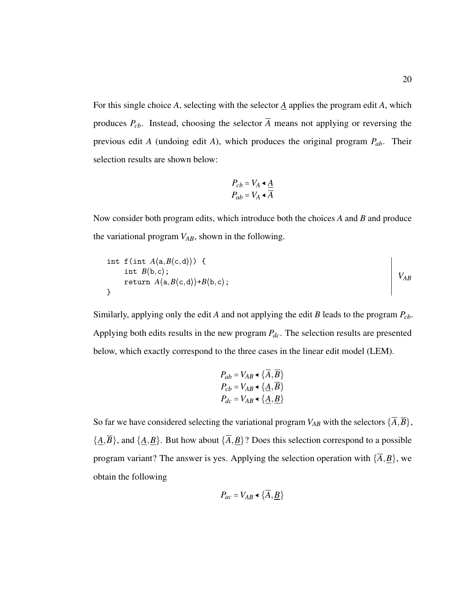For this single choice *A*, selecting with the selector *A* applies the program edit *A*, which produces  $P_{cb}$ . Instead, choosing the selector  $\overline{A}$  means not applying or reversing the previous edit *A* (undoing edit *A*), which produces the original program *Pab*. Their selection results are shown below:

$$
P_{cb} = V_A \triangleleft \frac{A}{A}
$$

$$
P_{ab} = V_A \triangleleft \frac{A}{A}
$$

Now consider both program edits, which introduce both the choices *A* and *B* and produce the variational program *VAB*, shown in the following.

int f(int *A*⟨a,*B*⟨c,d⟩⟩) { int *B*⟨b,c⟩; return *A*⟨a,*B*⟨c,d⟩⟩+*B*⟨b,c⟩; } *VAB*

Similarly, applying only the edit *A* and not applying the edit *B* leads to the program *Pcb*. Applying both edits results in the new program *Pdc*. The selection results are presented below, which exactly correspond to the three cases in the linear edit model (LEM).

$$
P_{ab} = V_{AB} \triangleleft \{ A, \overline{B} \}
$$
  
\n
$$
P_{cb} = V_{AB} \triangleleft \{ \underline{A}, \overline{B} \}
$$
  
\n
$$
P_{dc} = V_{AB} \triangleleft \{ \underline{A}, \underline{B} \}
$$

So far we have considered selecting the variational program  $V_{AB}$  with the selectors  $\{\overline{A}, \overline{B}\}\,$ ,  ${\{\underline{A}, \overline{B}\}}$ , and  ${\{\underline{A}, \underline{B}\}}$ . But how about  ${\{\overline{A}, \underline{B}\}}$ ? Does this selection correspond to a possible program variant? The answer is yes. Applying the selection operation with  $\{\overline{A}, \underline{B}\}$ , we obtain the following

$$
P_{ac} = V_{AB} \triangleleft {\overline{A}, {\underline{B}}}
$$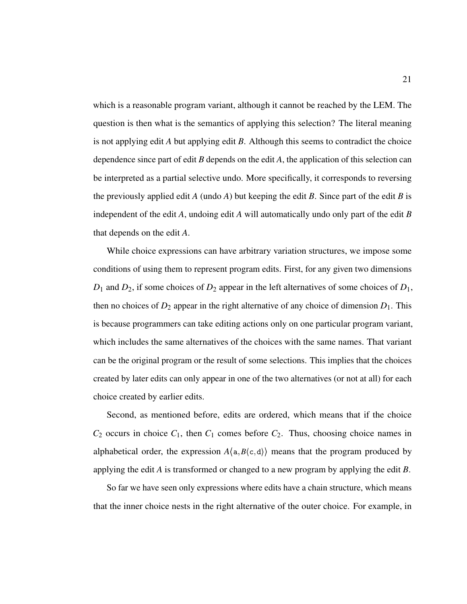which is a reasonable program variant, although it cannot be reached by the LEM. The question is then what is the semantics of applying this selection? The literal meaning is not applying edit *A* but applying edit *B*. Although this seems to contradict the choice dependence since part of edit *B* depends on the edit *A*, the application of this selection can be interpreted as a partial selective undo. More specifically, it corresponds to reversing the previously applied edit *A* (undo *A*) but keeping the edit *B*. Since part of the edit *B* is independent of the edit *A*, undoing edit *A* will automatically undo only part of the edit *B* that depends on the edit *A*.

While choice expressions can have arbitrary variation structures, we impose some conditions of using them to represent program edits. First, for any given two dimensions  $D_1$  and  $D_2$ , if some choices of  $D_2$  appear in the left alternatives of some choices of  $D_1$ , then no choices of  $D_2$  appear in the right alternative of any choice of dimension  $D_1$ . This is because programmers can take editing actions only on one particular program variant, which includes the same alternatives of the choices with the same names. That variant can be the original program or the result of some selections. This implies that the choices created by later edits can only appear in one of the two alternatives (or not at all) for each choice created by earlier edits.

Second, as mentioned before, edits are ordered, which means that if the choice  $C_2$  occurs in choice  $C_1$ , then  $C_1$  comes before  $C_2$ . Thus, choosing choice names in alphabetical order, the expression  $A\langle a, B\langle c, d \rangle$  means that the program produced by applying the edit *A* is transformed or changed to a new program by applying the edit *B*.

So far we have seen only expressions where edits have a chain structure, which means that the inner choice nests in the right alternative of the outer choice. For example, in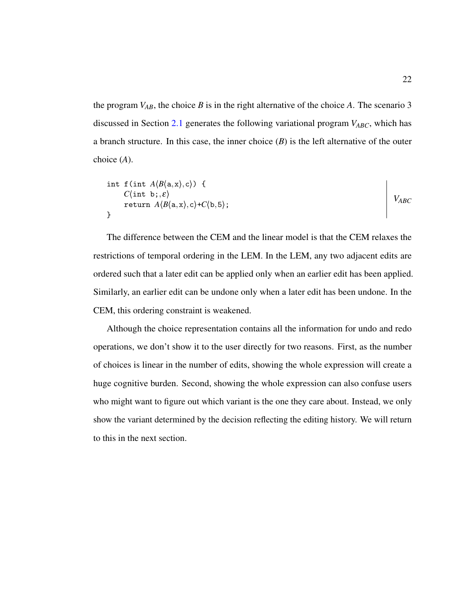the program  $V_{AB}$ , the choice *B* is in the right alternative of the choice *A*. The scenario 3 discussed in Section [2.1](#page-18-1) generates the following variational program *VABC*, which has a branch structure. In this case, the inner choice  $(B)$  is the left alternative of the outer choice (*A*).

$$
\begin{array}{c}\n\text{int } f(\text{int } A \langle B \langle a, x \rangle, c \rangle) \left\{ \right. \\
\text{C(int b,}, \varepsilon) \\
\text{return } A \langle B \langle a, x \rangle, c \rangle + C \langle b, 5 \rangle;\n\end{array}
$$
\n
$$
\begin{array}{c}\nV_{ABC} \\
V_{ABC}\n\end{array}
$$

The difference between the CEM and the linear model is that the CEM relaxes the restrictions of temporal ordering in the LEM. In the LEM, any two adjacent edits are ordered such that a later edit can be applied only when an earlier edit has been applied. Similarly, an earlier edit can be undone only when a later edit has been undone. In the CEM, this ordering constraint is weakened.

Although the choice representation contains all the information for undo and redo operations, we don't show it to the user directly for two reasons. First, as the number of choices is linear in the number of edits, showing the whole expression will create a huge cognitive burden. Second, showing the whole expression can also confuse users who might want to figure out which variant is the one they care about. Instead, we only show the variant determined by the decision reflecting the editing history. We will return to this in the next section.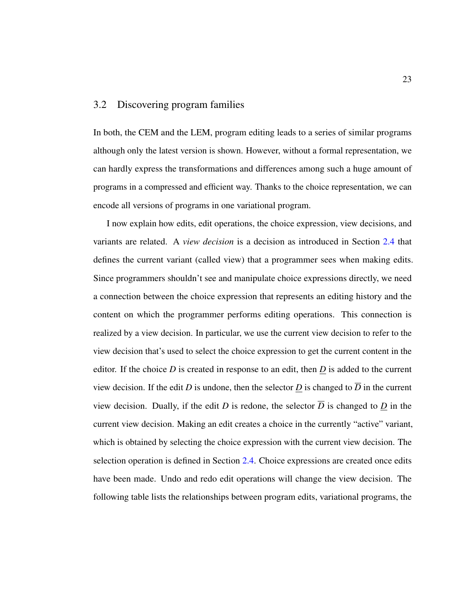## <span id="page-32-0"></span>3.2 Discovering program families

In both, the CEM and the LEM, program editing leads to a series of similar programs although only the latest version is shown. However, without a formal representation, we can hardly express the transformations and differences among such a huge amount of programs in a compressed and efficient way. Thanks to the choice representation, we can encode all versions of programs in one variational program.

I now explain how edits, edit operations, the choice expression, view decisions, and variants are related. A *view decision* is a decision as introduced in Section [2.4](#page-25-0) that defines the current variant (called view) that a programmer sees when making edits. Since programmers shouldn't see and manipulate choice expressions directly, we need a connection between the choice expression that represents an editing history and the content on which the programmer performs editing operations. This connection is realized by a view decision. In particular, we use the current view decision to refer to the view decision that's used to select the choice expression to get the current content in the editor. If the choice *D* is created in response to an edit, then *D* is added to the current view decision. If the edit *D* is undone, then the selector *D* is changed to  $\overline{D}$  in the current view decision. Dually, if the edit *D* is redone, the selector  $\overline{D}$  is changed to *D* in the current view decision. Making an edit creates a choice in the currently "active" variant, which is obtained by selecting the choice expression with the current view decision. The selection operation is defined in Section [2.4.](#page-25-0) Choice expressions are created once edits have been made. Undo and redo edit operations will change the view decision. The following table lists the relationships between program edits, variational programs, the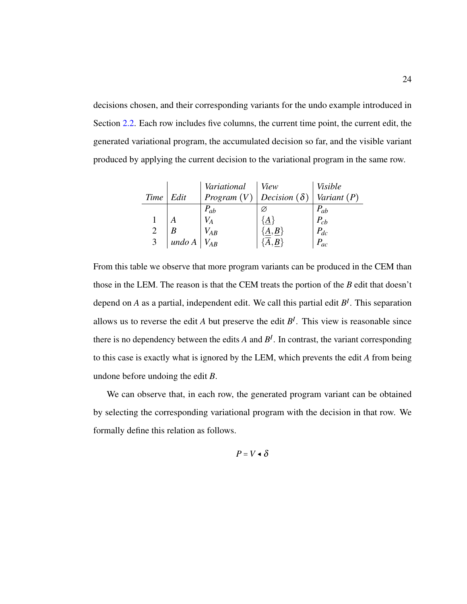decisions chosen, and their corresponding variants for the undo example introduced in Section [2.2.](#page-19-0) Each row includes five columns, the current time point, the current edit, the generated variational program, the accumulated decision so far, and the visible variant produced by applying the current decision to the variational program in the same row.

|      |        | Variational                              | <i>View</i> | <b>Visible</b> |
|------|--------|------------------------------------------|-------------|----------------|
| Time | Edit   | <i>Program</i> $(V)$ Decision $(\delta)$ |             | Variant $(P)$  |
|      |        | $P_{ab}$                                 |             | $P_{ab}$       |
|      |        |                                          | ${A}$       | $P_{cb}$       |
|      |        | $V_{AB}$                                 | ${A,B}$     | $P_{dc}$       |
| 3    | undo A | $V_{AB}$                                 |             | $P_{ac}$       |

From this table we observe that more program variants can be produced in the CEM than those in the LEM. The reason is that the CEM treats the portion of the *B* edit that doesn't depend on *A* as a partial, independent edit. We call this partial edit *B<sup>I</sup>* . This separation allows us to reverse the edit *A* but preserve the edit  $B<sup>I</sup>$ . This view is reasonable since there is no dependency between the edits  $A$  and  $B<sup>I</sup>$ . In contrast, the variant corresponding to this case is exactly what is ignored by the LEM, which prevents the edit *A* from being undone before undoing the edit *B*.

We can observe that, in each row, the generated program variant can be obtained by selecting the corresponding variational program with the decision in that row. We formally define this relation as follows.

$$
P=V\bullet\delta
$$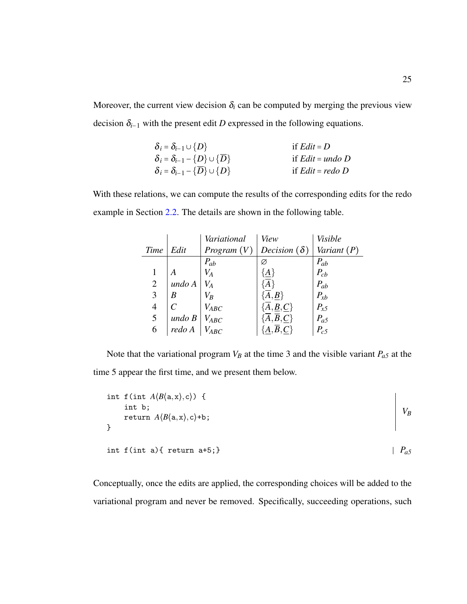Moreover, the current view decision  $\delta_i$  can be computed by merging the previous view decision  $\delta_{i-1}$  with the present edit *D* expressed in the following equations.

| $\delta_i = \delta_{i-1} \cup \{D\}$                           | if $Edit = D$      |
|----------------------------------------------------------------|--------------------|
| $\delta_i = \delta_{i-1} - \{D\} \cup \{\overline{D}\}\$       | if $Edit = undo D$ |
| $\delta_i = \delta_{i-1} - {\overline{D}} \cup {\overline{D}}$ | if $Edit = redo D$ |

With these relations, we can compute the results of the corresponding edits for the redo example in Section [2.2.](#page-19-0) The details are shown in the following table.

|                |        | Variational          | View                             | Visible       |
|----------------|--------|----------------------|----------------------------------|---------------|
| Time           | Edit   | <i>Program</i> $(V)$ | Decision $(\delta)$              | Variant $(P)$ |
|                |        | $P_{ab}$             | Ø                                | $P_{ab}$      |
|                |        | $V_{A}$              | $\{\underline{A}\}$              | $P_{cb}$      |
| $\overline{2}$ | undo A | $V_{A}$              | $\overline{A}$                   | $P_{ab}$      |
| 3              | В      | $V_B\,$              | $\{A,B\}$                        | $P_{xb}$      |
| $\overline{4}$ |        | $V_{ABC}$            | $\{A, \underline{B}, C\}$        | $P_{x5}$      |
| 5              | undoB  | <b>VABC</b>          | ${A,\overline{B},\underline{C}}$ | $P_{a5}$      |
| 6              | redo A | $V_{ABC}$            |                                  | $P_{c5}$      |

Note that the variational program  $V_B$  at the time 3 and the visible variant  $P_{a5}$  at the time 5 appear the first time, and we present them below.

| int f(int $A\langle B\langle a, x \rangle, c \rangle$ ) { |           |
|-----------------------------------------------------------|-----------|
| int b;                                                    |           |
| return $A\langle B\langle a, x \rangle, c\rangle + b;$    |           |
|                                                           |           |
|                                                           |           |
| int $f(int a)$ { return $a+5$ ; }                         | $P_{a}$ 5 |

Conceptually, once the edits are applied, the corresponding choices will be added to the variational program and never be removed. Specifically, succeeding operations, such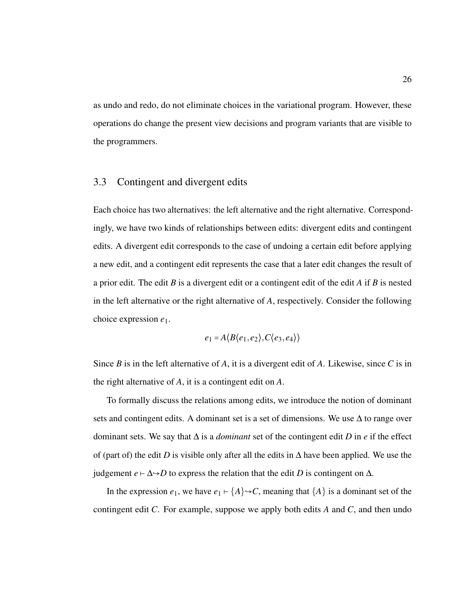as undo and redo, do not eliminate choices in the variational program. However, these operations do change the present view decisions and program variants that are visible to the programmers.

#### <span id="page-35-0"></span>3.3 Contingent and divergent edits

Each choice has two alternatives: the left alternative and the right alternative. Correspondingly, we have two kinds of relationships between edits: divergent edits and contingent edits. A divergent edit corresponds to the case of undoing a certain edit before applying a new edit, and a contingent edit represents the case that a later edit changes the result of a prior edit. The edit *B* is a divergent edit or a contingent edit of the edit *A* if *B* is nested in the left alternative or the right alternative of *A*, respectively. Consider the following choice expression *e*1.

$$
e_1 = A \langle B \langle e_1, e_2 \rangle, C \langle e_3, e_4 \rangle \rangle
$$

Since *B* is in the left alternative of *A*, it is a divergent edit of *A*. Likewise, since *C* is in the right alternative of *A*, it is a contingent edit on *A*.

To formally discuss the relations among edits, we introduce the notion of dominant sets and contingent edits. A dominant set is a set of dimensions. We use  $\Delta$  to range over dominant sets. We say that ∆ is a *dominant* set of the contingent edit *D* in *e* if the effect of (part of) the edit *D* is visible only after all the edits in  $\Delta$  have been applied. We use the judgement *e* ⊢ ∆→*D* to express the relation that the edit *D* is contingent on  $\Delta$ .

In the expression  $e_1$ , we have  $e_1 \mapsto \{A\} \rightarrow C$ , meaning that  $\{A\}$  is a dominant set of the contingent edit *C*. For example, suppose we apply both edits *A* and *C*, and then undo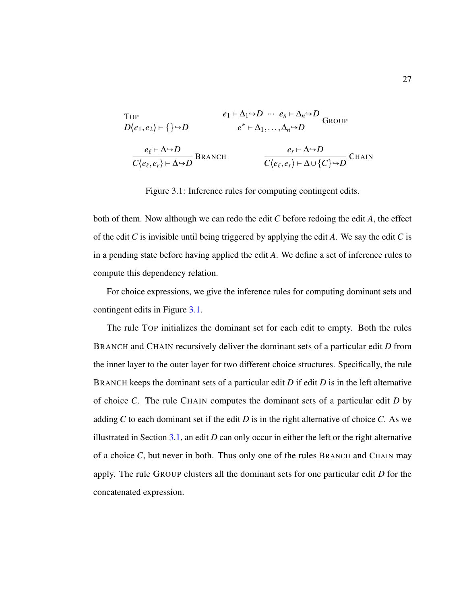<span id="page-36-0"></span>Top

\n
$$
D\langle e_1, e_2 \rangle \mapsto \{ \} \rightarrow D
$$
\n
$$
e_1 \mapsto \Delta_1 \rightarrow D \quad \cdots \quad e_n \mapsto \Delta_n \rightarrow D
$$
\n
$$
e^* \mapsto \Delta_1, \dots, \Delta_n \rightarrow D
$$
\nGroup

\n
$$
e_{\ell} \mapsto \Delta \rightarrow D
$$
\n
$$
\frac{e_{\ell} \mapsto \Delta \rightarrow D}{C\langle e_{\ell}, e_r \rangle \mapsto \Delta \rightarrow D}
$$
\nBRANCH

\n
$$
C\langle e_{\ell}, e_r \rangle \mapsto \Delta \cup \{C\} \rightarrow D
$$
\nCHAIN

Figure 3.1: Inference rules for computing contingent edits.

both of them. Now although we can redo the edit *C* before redoing the edit *A*, the effect of the edit *C* is invisible until being triggered by applying the edit *A*. We say the edit *C* is in a pending state before having applied the edit *A*. We define a set of inference rules to compute this dependency relation.

For choice expressions, we give the inference rules for computing dominant sets and contingent edits in Figure [3.1.](#page-36-0)

The rule TOP initializes the dominant set for each edit to empty. Both the rules BRANCH and CHAIN recursively deliver the dominant sets of a particular edit *D* from the inner layer to the outer layer for two different choice structures. Specifically, the rule BRANCH keeps the dominant sets of a particular edit *D* if edit *D* is in the left alternative of choice *C*. The rule CHAIN computes the dominant sets of a particular edit *D* by adding *C* to each dominant set if the edit *D* is in the right alternative of choice *C*. As we illustrated in Section  $3.1$ , an edit *D* can only occur in either the left or the right alternative of a choice  $C$ , but never in both. Thus only one of the rules BRANCH and CHAIN may apply. The rule GROUP clusters all the dominant sets for one particular edit *D* for the concatenated expression.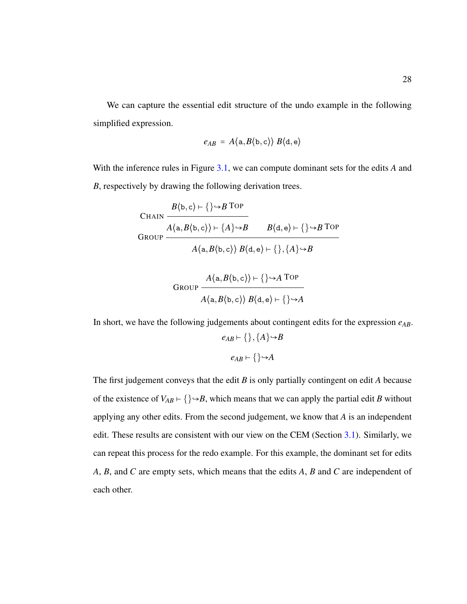We can capture the essential edit structure of the undo example in the following simplified expression.

$$
e_{AB} = A\langle a, B\langle b, c \rangle \rangle B\langle d, e \rangle
$$

With the inference rules in Figure [3.1,](#page-36-0) we can compute dominant sets for the edits *A* and *B*, respectively by drawing the following derivation trees.

CHAIN

\n
$$
\frac{B(b, c) \vdash \{\} \rightarrow B \text{ TOP}}{A(a, B(b, c)) \vdash \{A\} \rightarrow B} \qquad B(d, e) \vdash \{\} \rightarrow B \text{TOP}
$$
\n
$$
A(a, B(b, c)) \ B(d, e) \vdash \{\}, \{A\} \rightarrow B
$$
\nGroup

\n
$$
\frac{A(a, B(b, c)) \vdash \{\} \rightarrow A \text{TOP}}{A(a, B(b, c)) \ B(d, e) \vdash \{\} \rightarrow A}
$$

In short, we have the following judgements about contingent edits for the expression *eAB*.  $e_{AB}$  ⊢ { }, {*A* }  $\rightarrow$  *B*  $e_{AB} \vdash \{\} \rightarrow A$ 

The first judgement conveys that the edit *B* is only partially contingent on edit *A* because of the existence of  $V_{AB} \vdash \{\} \rightarrow B$ , which means that we can apply the partial edit *B* without applying any other edits. From the second judgement, we know that *A* is an independent edit. These results are consistent with our view on the CEM (Section [3.1\)](#page-28-0). Similarly, we can repeat this process for the redo example. For this example, the dominant set for edits *A*, *B*, and *C* are empty sets, which means that the edits *A*, *B* and *C* are independent of each other.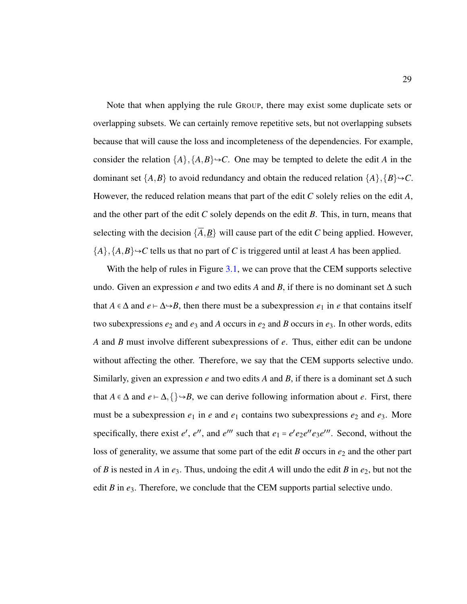Note that when applying the rule GROUP, there may exist some duplicate sets or overlapping subsets. We can certainly remove repetitive sets, but not overlapping subsets because that will cause the loss and incompleteness of the dependencies. For example, consider the relation  $\{A\}, \{A, B\} \rightarrow C$ . One may be tempted to delete the edit *A* in the dominant set  $\{A,B\}$  to avoid redundancy and obtain the reduced relation  $\{A\}, \{B\} \rightarrow C$ . However, the reduced relation means that part of the edit *C* solely relies on the edit *A*, and the other part of the edit *C* solely depends on the edit *B*. This, in turn, means that selecting with the decision  $\{\overline{A}, \underline{B}\}$  will cause part of the edit *C* being applied. However,  ${A}, {A}, B} \rightarrow C$  tells us that no part of *C* is triggered until at least *A* has been applied.

With the help of rules in Figure [3.1,](#page-36-0) we can prove that the CEM supports selective undo. Given an expression *e* and two edits *A* and *B*, if there is no dominant set  $\Delta$  such that *A*  $\in$  ∆ and *e* ⊢  $\Delta \rightarrow B$ , then there must be a subexpression *e*<sub>1</sub> in *e* that contains itself two subexpressions  $e_2$  and  $e_3$  and  $A$  occurs in  $e_2$  and  $B$  occurs in  $e_3$ . In other words, edits *A* and *B* must involve different subexpressions of *e*. Thus, either edit can be undone without affecting the other. Therefore, we say that the CEM supports selective undo. Similarly, given an expression *e* and two edits *A* and *B*, if there is a dominant set  $\Delta$  such that *A* ∈  $\Delta$  and *e* ⊢  $\Delta$ ,  $\{\} \rightarrow B$ , we can derive following information about *e*. First, there must be a subexpression  $e_1$  in  $e$  and  $e_1$  contains two subexpressions  $e_2$  and  $e_3$ . More specifically, there exist *e'*, *e''*, and *e'''* such that  $e_1 = e'e_2e''e_3e'''$ . Second, without the loss of generality, we assume that some part of the edit *B* occurs in  $e_2$  and the other part of *B* is nested in *A* in  $e_3$ . Thus, undoing the edit *A* will undo the edit *B* in  $e_2$ , but not the edit  $B$  in  $e_3$ . Therefore, we conclude that the CEM supports partial selective undo.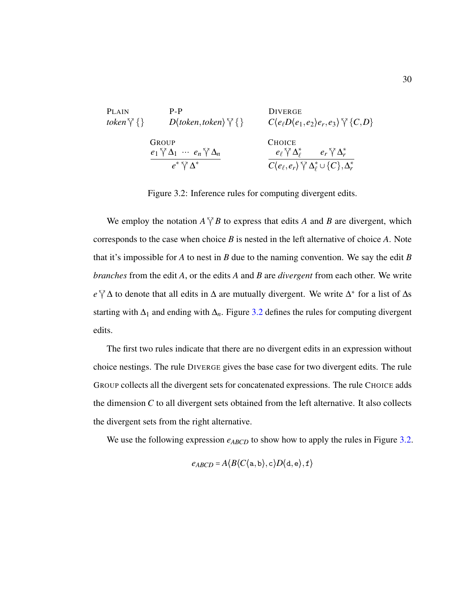<span id="page-39-0"></span>PLAIN

\n
$$
P-P
$$
\nDiverge

\ntoken  $\forall \{\}$ 

\n
$$
D\langle token, token \rangle \gamma \{\}
$$
\nCroupe

\n
$$
\frac{e_1 \gamma \Delta_1 \cdots e_n \gamma \Delta_n}{e^* \gamma \Delta^*}
$$
\nCholCE

\n
$$
e^* \gamma \Delta^*
$$
\n
$$
P \rightarrow \text{C}(\text{e}_\ell, \text{e}_r) \gamma \Delta_\ell^* \cup \{C\}, \Delta_r^*
$$

Figure 3.2: Inference rules for computing divergent edits.

We employ the notation  $A \nabla B$  to express that edits *A* and *B* are divergent, which corresponds to the case when choice *B* is nested in the left alternative of choice *A*. Note that it's impossible for *A* to nest in *B* due to the naming convention. We say the edit *B branches* from the edit *A*, or the edits *A* and *B* are *divergent* from each other. We write *e*  $\sqrt{\ }$  ∆ to denote that all edits in  $\Delta$  are mutually divergent. We write  $\Delta^*$  for a list of  $\Delta$ s starting with  $\Delta_1$  and ending with  $\Delta_n$ . Figure [3.2](#page-39-0) defines the rules for computing divergent edits.

The first two rules indicate that there are no divergent edits in an expression without choice nestings. The rule DIVERGE gives the base case for two divergent edits. The rule GROUP collects all the divergent sets for concatenated expressions. The rule CHOICE adds the dimension *C* to all divergent sets obtained from the left alternative. It also collects the divergent sets from the right alternative.

We use the following expression  $e_{ABCD}$  to show how to apply the rules in Figure [3.2.](#page-39-0)

$$
e_{ABCD} = A \langle B \langle C \langle a, b \rangle, c \rangle D \langle d, e \rangle, f \rangle
$$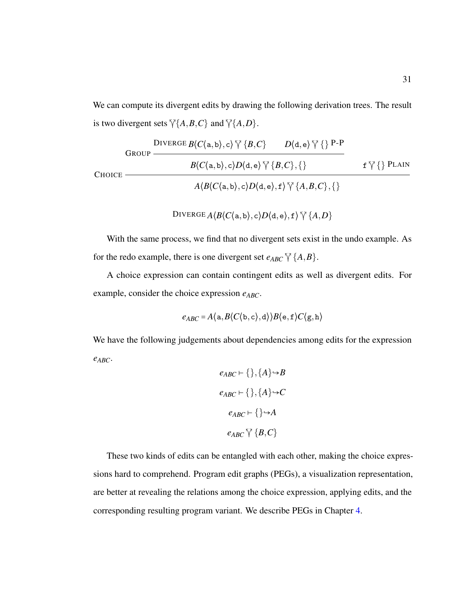We can compute its divergent edits by drawing the following derivation trees. The result is two divergent sets  $\sqrt{\{A,B,C\}}$  and  $\sqrt{\{A,D\}}$ .

DIVERGE 
$$
B\langle C\langle a,b\rangle,c\rangle \, \tilde{\gamma} \{B,C\}
$$

\nPROUP

\n
$$
\begin{array}{c|c|c|c|c|c|c|c|c} \hline B\langle C\langle a,b\rangle,c\rangle D\langle d,e\rangle \, \tilde{\gamma} \{B,C\},\{\} & \text{if $\tilde{\gamma}$}\} \text{PLAIN} \\\hline \hline \begin{array}{c|c|c|c} A\langle B\langle C\langle a,b\rangle,c\rangle D\langle d,e\rangle,f\rangle \, \tilde{\gamma} \{A,B,C\},\{\} \end{array}\n\end{array}
$$

$$
\text{DIVERGE}\,A\langle B\langle C\langle \mathtt{a},\mathtt{b}\rangle,\mathtt{c}\rangle D\langle \mathtt{d},\mathtt{e}\rangle,\mathtt{f}\rangle\,\widetilde{\,}\backslash\langle\{A,D\}
$$

With the same process, we find that no divergent sets exist in the undo example. As for the redo example, there is one divergent set  $e_{ABC} \,\sqrt{\{A,B\}}$ .

A choice expression can contain contingent edits as well as divergent edits. For example, consider the choice expression *eABC*.

$$
e_{ABC} = A \langle \mathtt{a}, B \langle C \langle \mathtt{b}, \mathtt{c} \rangle, \mathtt{d} \rangle) B \langle \mathtt{e}, \mathtt{f} \rangle C \langle \mathtt{g}, \mathtt{h} \rangle
$$

We have the following judgements about dependencies among edits for the expression *eABC*.

$$
e_{ABC} \vdash \{\}, \{A\} \rightarrow B
$$

$$
e_{ABC} \vdash \{\}, \{A\} \rightarrow C
$$

$$
e_{ABC} \vdash \{\} \rightarrow A
$$

$$
e_{ABC} \vee \{B, C\}
$$

These two kinds of edits can be entangled with each other, making the choice expressions hard to comprehend. Program edit graphs (PEGs), a visualization representation, are better at revealing the relations among the choice expression, applying edits, and the corresponding resulting program variant. We describe PEGs in Chapter [4.](#page-41-0)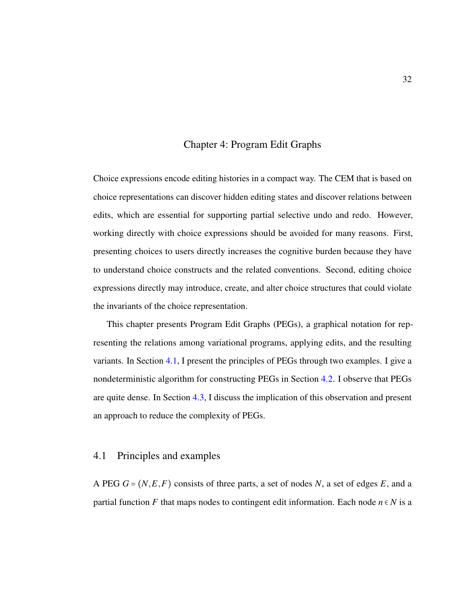#### Chapter 4: Program Edit Graphs

<span id="page-41-0"></span>Choice expressions encode editing histories in a compact way. The CEM that is based on choice representations can discover hidden editing states and discover relations between edits, which are essential for supporting partial selective undo and redo. However, working directly with choice expressions should be avoided for many reasons. First, presenting choices to users directly increases the cognitive burden because they have to understand choice constructs and the related conventions. Second, editing choice expressions directly may introduce, create, and alter choice structures that could violate the invariants of the choice representation.

This chapter presents Program Edit Graphs (PEGs), a graphical notation for representing the relations among variational programs, applying edits, and the resulting variants. In Section [4.1,](#page-41-1) I present the principles of PEGs through two examples. I give a nondeterministic algorithm for constructing PEGs in Section [4.2.](#page-44-0) I observe that PEGs are quite dense. In Section [4.3,](#page-50-0) I discuss the implication of this observation and present an approach to reduce the complexity of PEGs.

# <span id="page-41-1"></span>4.1 Principles and examples

A PEG *G* = (*N*,*E*,*F*) consists of three parts, a set of nodes *N*, a set of edges *E*, and a partial function *F* that maps nodes to contingent edit information. Each node  $n \in N$  is a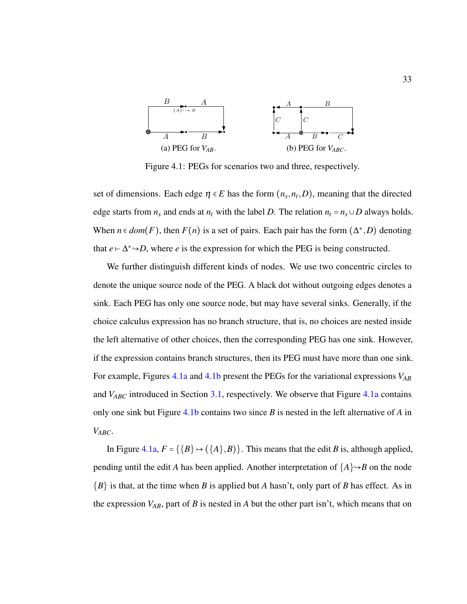<span id="page-42-0"></span>

Figure 4.1: PEGs for scenarios two and three, respectively.

set of dimensions. Each edge  $\eta \in E$  has the form  $(n_s, n_t, D)$ , meaning that the directed edge starts from  $n_s$  and ends at  $n_t$  with the label *D*. The relation  $n_t = n_s \cup D$  always holds. When  $n \in dom(F)$ , then  $F(n)$  is a set of pairs. Each pair has the form  $(\Delta^*, D)$  denoting that  $e \vdash \Delta^* \rightarrow D$ , where *e* is the expression for which the PEG is being constructed.

We further distinguish different kinds of nodes. We use two concentric circles to denote the unique source node of the PEG. A black dot without outgoing edges denotes a sink. Each PEG has only one source node, but may have several sinks. Generally, if the choice calculus expression has no branch structure, that is, no choices are nested inside the left alternative of other choices, then the corresponding PEG has one sink. However, if the expression contains branch structures, then its PEG must have more than one sink. For example, Figures [4.1a](#page-42-0) and [4.1b](#page-42-0) present the PEGs for the variational expressions *VAB* and *V<sub>ABC</sub>* introduced in Section [3.1,](#page-28-0) respectively. We observe that Figure [4.1a](#page-42-0) contains only one sink but Figure [4.1b](#page-42-0) contains two since *B* is nested in the left alternative of *A* in *VABC*.

In Figure [4.1a,](#page-42-0)  $F = \{\{B\} \mapsto (\{A\}, B)\}\$ . This means that the edit *B* is, although applied, pending until the edit *A* has been applied. Another interpretation of  ${A} \rightarrow B$  on the node {*B*} is that, at the time when *B* is applied but *A* hasn't, only part of *B* has effect. As in the expression  $V_{AB}$ , part of *B* is nested in *A* but the other part isn't, which means that on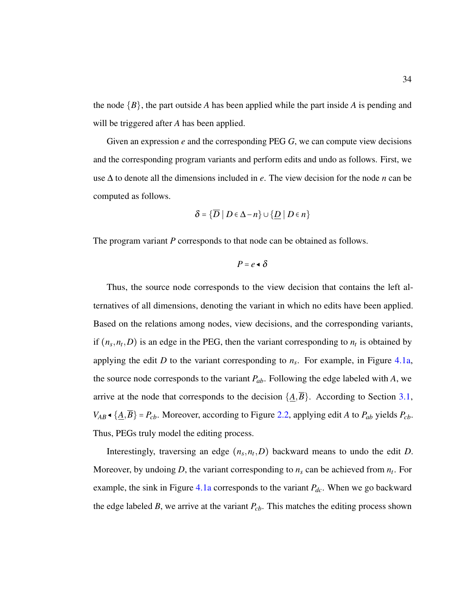the node {*B*}, the part outside *A* has been applied while the part inside *A* is pending and will be triggered after *A* has been applied.

Given an expression *e* and the corresponding PEG *G*, we can compute view decisions and the corresponding program variants and perform edits and undo as follows. First, we use ∆ to denote all the dimensions included in *e*. The view decision for the node *n* can be computed as follows.

$$
\delta = \{ \overline{D} \mid D \in \Delta - n \} \cup \{ \underline{D} \mid D \in n \}
$$

The program variant *P* corresponds to that node can be obtained as follows.

 $P = e \cdot \delta$ 

Thus, the source node corresponds to the view decision that contains the left alternatives of all dimensions, denoting the variant in which no edits have been applied. Based on the relations among nodes, view decisions, and the corresponding variants, if  $(n_s, n_t, D)$  is an edge in the PEG, then the variant corresponding to  $n_t$  is obtained by applying the edit *D* to the variant corresponding to  $n<sub>s</sub>$ . For example, in Figure [4.1a,](#page-42-0) the source node corresponds to the variant *Pab*. Following the edge labeled with *A*, we arrive at the node that corresponds to the decision  $\{\underline{A}, \overline{B}\}$ . According to Section [3.1,](#page-28-0) *V*<sup>AB</sup> <sup>▲</sup> { $\angle$ <sup>*A*</sup>, $\overline{B}$ } = *P*<sub>*cb*</sub>. Moreover, according to Figure [2.2,](#page-19-0) applying edit *A* to *P*<sub>*ab*</sub> yields *P*<sub>*cb*</sub>. Thus, PEGs truly model the editing process.

Interestingly, traversing an edge  $(n_s, n_t, D)$  backward means to undo the edit *D*. Moreover, by undoing *D*, the variant corresponding to  $n_s$  can be achieved from  $n_t$ . For example, the sink in Figure [4.1a](#page-42-0) corresponds to the variant *Pdc*. When we go backward the edge labeled *B*, we arrive at the variant  $P_{cb}$ . This matches the editing process shown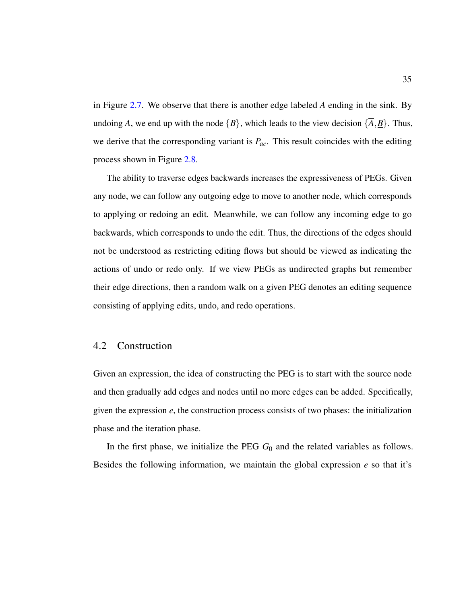in Figure [2.7.](#page-23-0) We observe that there is another edge labeled *A* ending in the sink. By undoing *A*, we end up with the node  ${B}$ , which leads to the view decision  ${A, B}$ . Thus, we derive that the corresponding variant is *Pac*. This result coincides with the editing process shown in Figure [2.8.](#page-24-0)

The ability to traverse edges backwards increases the expressiveness of PEGs. Given any node, we can follow any outgoing edge to move to another node, which corresponds to applying or redoing an edit. Meanwhile, we can follow any incoming edge to go backwards, which corresponds to undo the edit. Thus, the directions of the edges should not be understood as restricting editing flows but should be viewed as indicating the actions of undo or redo only. If we view PEGs as undirected graphs but remember their edge directions, then a random walk on a given PEG denotes an editing sequence consisting of applying edits, undo, and redo operations.

# <span id="page-44-0"></span>4.2 Construction

Given an expression, the idea of constructing the PEG is to start with the source node and then gradually add edges and nodes until no more edges can be added. Specifically, given the expression *e*, the construction process consists of two phases: the initialization phase and the iteration phase.

In the first phase, we initialize the PEG *G*<sup>0</sup> and the related variables as follows. Besides the following information, we maintain the global expression *e* so that it's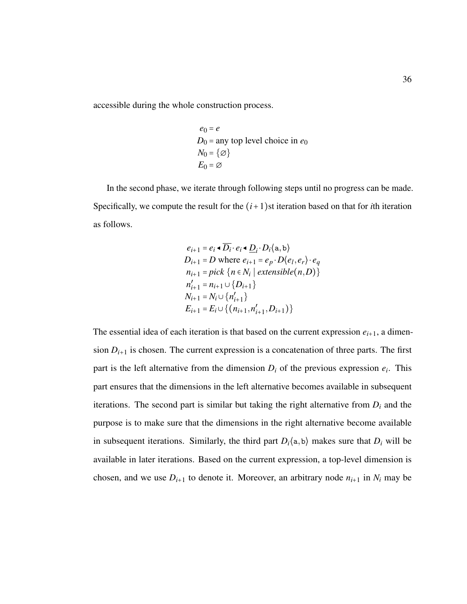accessible during the whole construction process.

$$
e_0 = e
$$
  
 $D_0 =$ any top level choice in  $e_0$   
 $N_0 = \{\emptyset\}$   
 $E_0 = \emptyset$ 

In the second phase, we iterate through following steps until no progress can be made. Specifically, we compute the result for the  $(i+1)$ st iteration based on that for *i*th iteration as follows.

$$
e_{i+1} = e_i \cdot \overline{D_i} \cdot e_i \cdot \underline{D_i} \cdot D_i \langle a, b \rangle
$$
  
\n
$$
D_{i+1} = D \text{ where } e_{i+1} = e_p \cdot D \langle e_l, e_r \rangle \cdot e_q
$$
  
\n
$$
n_{i+1} = pick \{n \in N_i \mid extensible(n, D)\}
$$
  
\n
$$
n'_{i+1} = n_{i+1} \cup \{D_{i+1}\}
$$
  
\n
$$
N_{i+1} = N_i \cup \{n'_{i+1}\}
$$
  
\n
$$
E_{i+1} = E_i \cup \{(n_{i+1}, n'_{i+1}, D_{i+1})\}
$$

The essential idea of each iteration is that based on the current expression  $e_{i+1}$ , a dimension  $D_{i+1}$  is chosen. The current expression is a concatenation of three parts. The first part is the left alternative from the dimension  $D_i$  of the previous expression  $e_i$ . This part ensures that the dimensions in the left alternative becomes available in subsequent iterations. The second part is similar but taking the right alternative from *D<sup>i</sup>* and the purpose is to make sure that the dimensions in the right alternative become available in subsequent iterations. Similarly, the third part  $D_i$ (a, b) makes sure that  $D_i$  will be available in later iterations. Based on the current expression, a top-level dimension is chosen, and we use  $D_{i+1}$  to denote it. Moreover, an arbitrary node  $n_{i+1}$  in  $N_i$  may be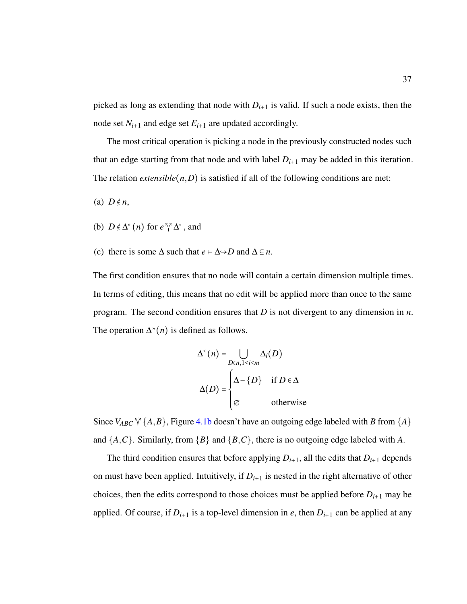picked as long as extending that node with  $D_{i+1}$  is valid. If such a node exists, then the node set  $N_{i+1}$  and edge set  $E_{i+1}$  are updated accordingly.

The most critical operation is picking a node in the previously constructed nodes such that an edge starting from that node and with label  $D_{i+1}$  may be added in this iteration. The relation *extensible*( $n$ , $D$ ) is satisfied if all of the following conditions are met:

(a)  $D \notin n$ ,

- (b)  $D \notin \Delta^*(n)$  for  $e \,\sqrt[n]{\Delta^*}$ , and
- (c) there is some  $\Delta$  such that  $e \vdash \Delta \rightarrow D$  and  $\Delta \subseteq n$ .

The first condition ensures that no node will contain a certain dimension multiple times. In terms of editing, this means that no edit will be applied more than once to the same program. The second condition ensures that *D* is not divergent to any dimension in *n*. The operation  $\Delta^*(n)$  is defined as follows.

$$
\Delta^*(n) = \bigcup_{D \in n, 1 \le i \le m} \Delta_i(D)
$$

$$
\Delta(D) = \begin{cases} \Delta - \{D\} & \text{if } D \in \Delta \\ \varnothing & \text{otherwise} \end{cases}
$$

Since  $V_{ABC}$   $\forall$  {*A*,*B*}, Figure [4.1b](#page-42-0) doesn't have an outgoing edge labeled with *B* from {*A*} and  $\{A, C\}$ . Similarly, from  $\{B\}$  and  $\{B, C\}$ , there is no outgoing edge labeled with *A*.

The third condition ensures that before applying  $D_{i+1}$ , all the edits that  $D_{i+1}$  depends on must have been applied. Intuitively, if  $D_{i+1}$  is nested in the right alternative of other choices, then the edits correspond to those choices must be applied before  $D_{i+1}$  may be applied. Of course, if  $D_{i+1}$  is a top-level dimension in *e*, then  $D_{i+1}$  can be applied at any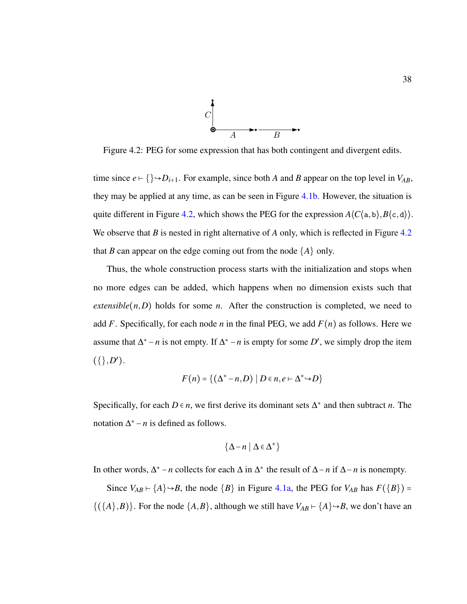

<span id="page-47-0"></span>Figure 4.2: PEG for some expression that has both contingent and divergent edits.

time since  $e \mapsto \{\} \rightarrow D_{i+1}$ . For example, since both *A* and *B* appear on the top level in  $V_{AB}$ , they may be applied at any time, as can be seen in Figure [4.1b.](#page-42-0) However, the situation is quite different in Figure [4.2,](#page-47-0) which shows the PEG for the expression  $A\langle C\langle a,b\rangle, B\langle c,d\rangle\rangle$ . We observe that *B* is nested in right alternative of *A* only, which is reflected in Figure [4.2](#page-47-0) that *B* can appear on the edge coming out from the node  $\{A\}$  only.

Thus, the whole construction process starts with the initialization and stops when no more edges can be added, which happens when no dimension exists such that *extensible*( $n$ , $D$ ) holds for some  $n$ . After the construction is completed, we need to add *F*. Specifically, for each node *n* in the final PEG, we add  $F(n)$  as follows. Here we assume that  $\Delta^*$  − *n* is not empty. If  $\Delta^*$  − *n* is empty for some *D'*, we simply drop the item  $({}, D').$ 

$$
F(n) = \{ (\Delta^* - n, D) \mid D \in n, e \vdash \Delta^* \rightarrow D \}
$$

Specifically, for each  $D \in n$ , we first derive its dominant sets  $\Delta^*$  and then subtract *n*. The notation  $\Delta^*$  – *n* is defined as follows.

$$
\{\Delta - n \mid \Delta \in \Delta^* \}
$$

In other words,  $\Delta^*$  − *n* collects for each  $\Delta$  in  $\Delta^*$  the result of  $\Delta$ −*n* if  $\Delta$ −*n* is nonempty.

Since  $V_{AB} \rightharpoonup \{A\} \rightarrow B$ , the node  $\{B\}$  in Figure [4.1a,](#page-42-0) the PEG for  $V_{AB}$  has  $F(\{B\}) =$  $\{(\{A\}, B)\}.$  For the node  $\{A, B\}$ , although we still have  $V_{AB} \vdash \{A\} \rightarrow B$ , we don't have an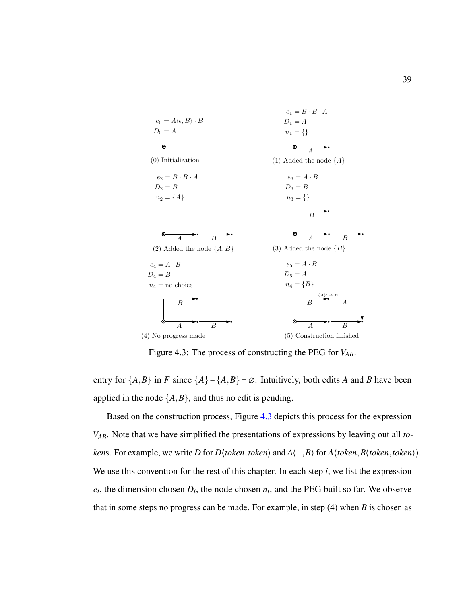<span id="page-48-0"></span>

Figure 4.3: The process of constructing the PEG for *VAB*.

entry for  $\{A,B\}$  in *F* since  $\{A\}$  –  $\{A,B\}$  =  $\emptyset$ . Intuitively, both edits *A* and *B* have been applied in the node  $\{A, B\}$ , and thus no edit is pending.

Based on the construction process, Figure [4.3](#page-48-0) depicts this process for the expression *VAB*. Note that we have simplified the presentations of expressions by leaving out all *token*s. For example, we write *D* for *D*⟨*token*,*token*⟩ and *A*⟨−,*B*⟩ for *A*⟨*token*,*B*⟨*token*,*token*⟩⟩. We use this convention for the rest of this chapter. In each step *i*, we list the expression  $e_i$ , the dimension chosen  $D_i$ , the node chosen  $n_i$ , and the PEG built so far. We observe that in some steps no progress can be made. For example, in step (4) when *B* is chosen as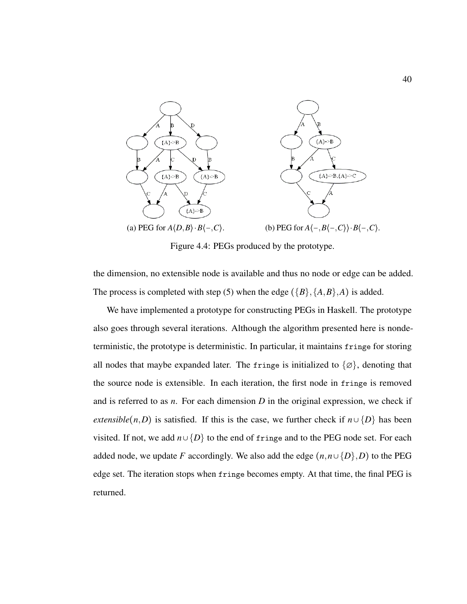<span id="page-49-0"></span>

Figure 4.4: PEGs produced by the prototype.

the dimension, no extensible node is available and thus no node or edge can be added. The process is completed with step (5) when the edge ( ${B}$ ,  ${A,B}$ ,  ${A}$ ) is added.

We have implemented a prototype for constructing PEGs in Haskell. The prototype also goes through several iterations. Although the algorithm presented here is nondeterministic, the prototype is deterministic. In particular, it maintains fringe for storing all nodes that maybe expanded later. The fringe is initialized to  $\{\emptyset\}$ , denoting that the source node is extensible. In each iteration, the first node in fringe is removed and is referred to as *n*. For each dimension *D* in the original expression, we check if *extensible*(*n*,*D*) is satisfied. If this is the case, we further check if  $n \cup \{D\}$  has been visited. If not, we add  $n \cup \{D\}$  to the end of fringe and to the PEG node set. For each added node, we update *F* accordingly. We also add the edge  $(n, n \cup \{D\}, D)$  to the PEG edge set. The iteration stops when fringe becomes empty. At that time, the final PEG is returned.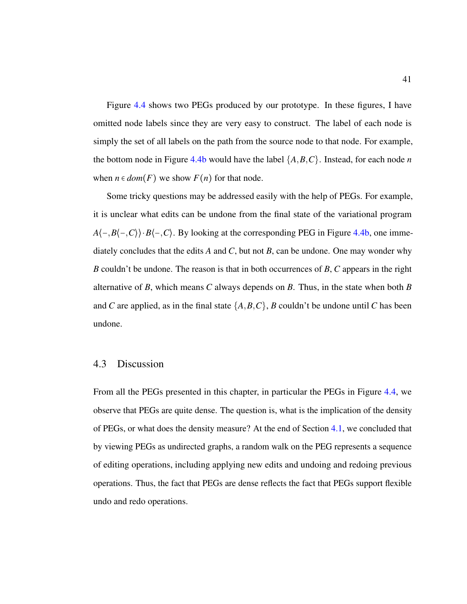Figure [4.4](#page-49-0) shows two PEGs produced by our prototype. In these figures, I have omitted node labels since they are very easy to construct. The label of each node is simply the set of all labels on the path from the source node to that node. For example, the bottom node in Figure [4.4b](#page-49-0) would have the label  $\{A, B, C\}$ . Instead, for each node *n* when  $n \in dom(F)$  we show  $F(n)$  for that node.

Some tricky questions may be addressed easily with the help of PEGs. For example, it is unclear what edits can be undone from the final state of the variational program  $A\langle -, B\langle -, C \rangle \cdot B\langle -, C \rangle$ . By looking at the corresponding PEG in Figure [4.4b,](#page-49-0) one immediately concludes that the edits *A* and *C*, but not *B*, can be undone. One may wonder why *B* couldn't be undone. The reason is that in both occurrences of *B*, *C* appears in the right alternative of *B*, which means *C* always depends on *B*. Thus, in the state when both *B* and *C* are applied, as in the final state  $\{A, B, C\}$ , *B* couldn't be undone until *C* has been undone.

# <span id="page-50-0"></span>4.3 Discussion

From all the PEGs presented in this chapter, in particular the PEGs in Figure [4.4,](#page-49-0) we observe that PEGs are quite dense. The question is, what is the implication of the density of PEGs, or what does the density measure? At the end of Section [4.1,](#page-41-1) we concluded that by viewing PEGs as undirected graphs, a random walk on the PEG represents a sequence of editing operations, including applying new edits and undoing and redoing previous operations. Thus, the fact that PEGs are dense reflects the fact that PEGs support flexible undo and redo operations.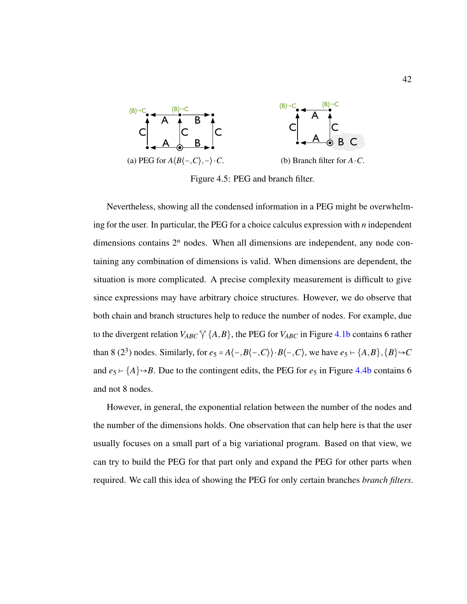<span id="page-51-0"></span>

Figure 4.5: PEG and branch filter.

Nevertheless, showing all the condensed information in a PEG might be overwhelming for the user. In particular, the PEG for a choice calculus expression with *n* independent dimensions contains  $2^n$  nodes. When all dimensions are independent, any node containing any combination of dimensions is valid. When dimensions are dependent, the situation is more complicated. A precise complexity measurement is difficult to give since expressions may have arbitrary choice structures. However, we do observe that both chain and branch structures help to reduce the number of nodes. For example, due to the divergent relation  $V_{ABC} \nabla \{A, B\}$ , the PEG for  $V_{ABC}$  in Figure [4.1b](#page-42-0) contains 6 rather than 8 (2<sup>3</sup>) nodes. Similarly, for  $e_5 = A\langle -, B\langle -, C \rangle \rangle \cdot B\langle -, C \rangle$ , we have  $e_5 \vdash \{A, B\}, \{B\} \rightarrow C$ and  $e_5 \mapsto \{A\} \rightarrow B$ . Due to the contingent edits, the PEG for  $e_5$  in Figure [4.4b](#page-49-0) contains 6 and not 8 nodes.

However, in general, the exponential relation between the number of the nodes and the number of the dimensions holds. One observation that can help here is that the user usually focuses on a small part of a big variational program. Based on that view, we can try to build the PEG for that part only and expand the PEG for other parts when required. We call this idea of showing the PEG for only certain branches *branch filters*.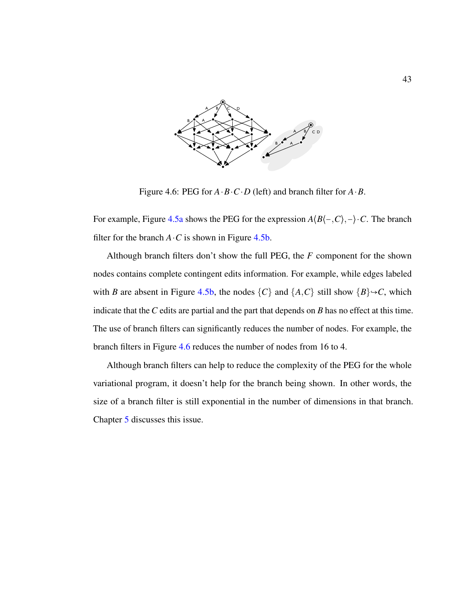<span id="page-52-0"></span>

Figure 4.6: PEG for *A*⋅*B*⋅*C*⋅*D* (left) and branch filter for *A*⋅*B*.

For example, Figure [4.5a](#page-51-0) shows the PEG for the expression *A*⟨*B*⟨−,*C*⟩,−⟩⋅*C*. The branch filter for the branch  $A \cdot C$  is shown in Figure [4.5b.](#page-51-0)

Although branch filters don't show the full PEG, the *F* component for the shown nodes contains complete contingent edits information. For example, while edges labeled with *B* are absent in Figure [4.5b,](#page-51-0) the nodes  $\{C\}$  and  $\{A, C\}$  still show  $\{B\} \rightarrow C$ , which indicate that the *C* edits are partial and the part that depends on *B* has no effect at this time. The use of branch filters can significantly reduces the number of nodes. For example, the branch filters in Figure [4.6](#page-52-0) reduces the number of nodes from 16 to 4.

Although branch filters can help to reduce the complexity of the PEG for the whole variational program, it doesn't help for the branch being shown. In other words, the size of a branch filter is still exponential in the number of dimensions in that branch. Chapter [5](#page-53-0) discusses this issue.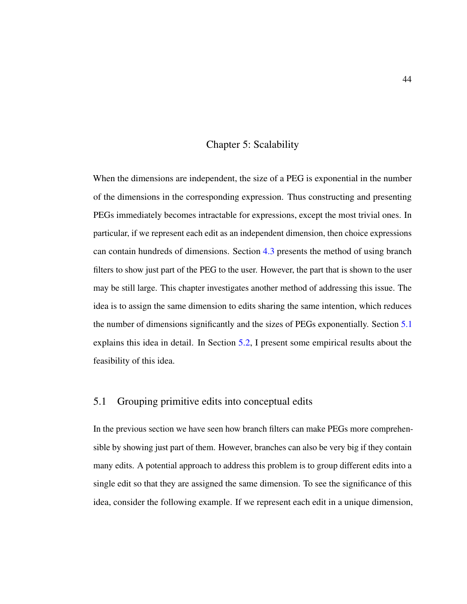### Chapter 5: Scalability

<span id="page-53-0"></span>When the dimensions are independent, the size of a PEG is exponential in the number of the dimensions in the corresponding expression. Thus constructing and presenting PEGs immediately becomes intractable for expressions, except the most trivial ones. In particular, if we represent each edit as an independent dimension, then choice expressions can contain hundreds of dimensions. Section [4.3](#page-50-0) presents the method of using branch filters to show just part of the PEG to the user. However, the part that is shown to the user may be still large. This chapter investigates another method of addressing this issue. The idea is to assign the same dimension to edits sharing the same intention, which reduces the number of dimensions significantly and the sizes of PEGs exponentially. Section [5.1](#page-53-1) explains this idea in detail. In Section [5.2,](#page-59-0) I present some empirical results about the feasibility of this idea.

# <span id="page-53-1"></span>5.1 Grouping primitive edits into conceptual edits

In the previous section we have seen how branch filters can make PEGs more comprehensible by showing just part of them. However, branches can also be very big if they contain many edits. A potential approach to address this problem is to group different edits into a single edit so that they are assigned the same dimension. To see the significance of this idea, consider the following example. If we represent each edit in a unique dimension,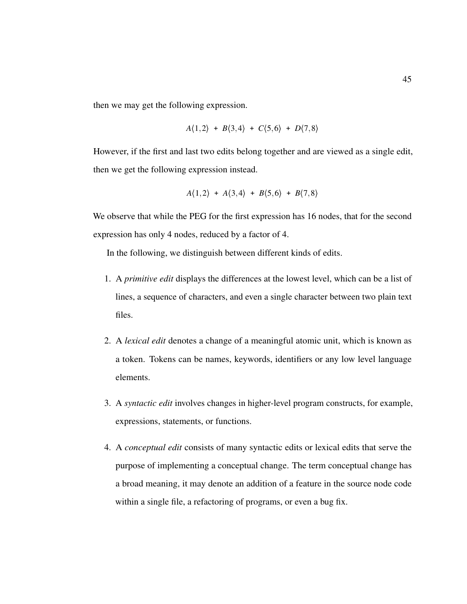then we may get the following expression.

$$
A(1,2) + B(3,4) + C(5,6) + D(7,8)
$$

However, if the first and last two edits belong together and are viewed as a single edit, then we get the following expression instead.

$$
A(1,2) + A(3,4) + B(5,6) + B(7,8)
$$

We observe that while the PEG for the first expression has 16 nodes, that for the second expression has only 4 nodes, reduced by a factor of 4.

In the following, we distinguish between different kinds of edits.

- 1. A *primitive edit* displays the differences at the lowest level, which can be a list of lines, a sequence of characters, and even a single character between two plain text files.
- 2. A *lexical edit* denotes a change of a meaningful atomic unit, which is known as a token. Tokens can be names, keywords, identifiers or any low level language elements.
- 3. A *syntactic edit* involves changes in higher-level program constructs, for example, expressions, statements, or functions.
- 4. A *conceptual edit* consists of many syntactic edits or lexical edits that serve the purpose of implementing a conceptual change. The term conceptual change has a broad meaning, it may denote an addition of a feature in the source node code within a single file, a refactoring of programs, or even a bug fix.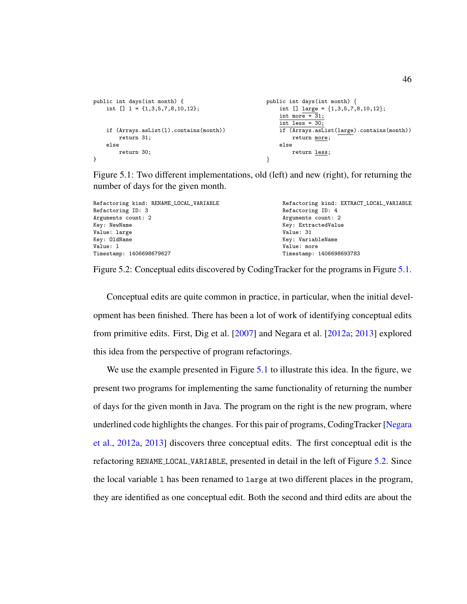```
public int days(int month) {
    int [] 1 = {1,3,5,7,8,10,12};
    if (Arrays.asList(l).contains(month))
       return 31;
    else
       return 30;
}
                                                      public int days(int month) {
                                                          int [] large = \{1,3,5,7,8,10,12\};int more = 31;
                                                          int less = 30;
                                                          if (Arrays.asList(large).contains(month))
                                                              return more;
                                                          else
                                                              return less;
                                                      }
```
Figure 5.1: Two different implementations, old (left) and new (right), for returning the number of days for the given month.

<span id="page-55-1"></span>

| Refactoring kind: RENAME_LOCAL_VARIABLE | Refactoring kind: EXTRACT_LOCAL_VARIABLE |  |  |  |  |
|-----------------------------------------|------------------------------------------|--|--|--|--|
| Refactoring ID: 3                       | Refactoring ID: 4                        |  |  |  |  |
| Arguments count: 2                      | Arguments count: 2                       |  |  |  |  |
| Key: NewName                            | Key: ExtractedValue                      |  |  |  |  |
| Value: large                            | Value: 31                                |  |  |  |  |
| Key: OldName                            | Key: VariableName                        |  |  |  |  |
| Value: 1                                | Value: more                              |  |  |  |  |
| Timestamp: 1406698679627                | Timestamp: 1406698693783                 |  |  |  |  |
|                                         |                                          |  |  |  |  |

Figure 5.2: Conceptual edits discovered by CodingTracker for the programs in Figure [5.1.](#page-55-0)

Conceptual edits are quite common in practice, in particular, when the initial development has been finished. There has been a lot of work of identifying conceptual edits from primitive edits. First, Dig et al. [\[2007\]](#page-70-0) and Negara et al. [\[2012a;](#page-71-0) [2013\]](#page-71-1) explored this idea from the perspective of program refactorings.

We use the example presented in Figure [5.1](#page-55-0) to illustrate this idea. In the figure, we present two programs for implementing the same functionality of returning the number of days for the given month in Java. The program on the right is the new program, where underlined code highlights the changes. For this pair of programs, CodingTracker [\[Negara](#page-71-0) [et al.,](#page-71-0) [2012a,](#page-71-0) [2013\]](#page-71-1) discovers three conceptual edits. The first conceptual edit is the refactoring RENAME LOCAL VARIABLE, presented in detail in the left of Figure [5.2.](#page-55-1) Since the local variable l has been renamed to large at two different places in the program, they are identified as one conceptual edit. Both the second and third edits are about the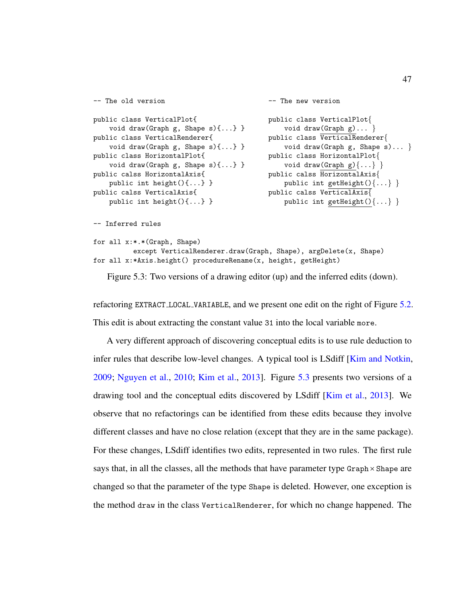```
-- The old version
public class VerticalPlot{
    void draw(Graph g, Shape s)\{ \ldots \} }
public class VerticalRenderer{
    void draw(Graph g, Shape s)\{ \ldots \} }
public class HorizontalPlot{
    void draw(Graph g, Shape s)\{ \ldots \} }
public calss HorizontalAxis{
    public int height(){...} }
public calss VerticalAxis{
    public int height(){...} }
                                              -- The new version
                                              public class VerticalPlot{
                                                   void draw(Graph g)... }
                                              public class VerticalRenderer{
                                                   void draw(Graph g, Shape s)... }
                                              public class HorizontalPlot{
                                                   void draw(Graph g)\{ \ldots \}}
                                              public calss HorizontalAxis{
                                                  public int getHeight()\{ \ldots \}}
                                              public calss VerticalAxis{
                                                  public int getHeight(){...} }
```
-- Inferred rules

```
for all x:*.*(Graph, Shape)
          except VerticalRenderer.draw(Graph, Shape), argDelete(x, Shape)
for all x:*Axis.height() procedureRename(x, height, getHeight)
```
Figure 5.3: Two versions of a drawing editor (up) and the inferred edits (down).

refactoring EXTRACT LOCAL VARIABLE, and we present one edit on the right of Figure [5.2.](#page-55-1) This edit is about extracting the constant value 31 into the local variable more.

A very different approach of discovering conceptual edits is to use rule deduction to infer rules that describe low-level changes. A typical tool is LSdiff [\[Kim and Notkin,](#page-71-2) [2009;](#page-71-2) [Nguyen et al.,](#page-72-0) [2010;](#page-72-0) [Kim et al.,](#page-71-3) [2013\]](#page-71-3). Figure [5.3](#page-56-0) presents two versions of a drawing tool and the conceptual edits discovered by LSdiff [\[Kim et al.,](#page-71-3) [2013\]](#page-71-3). We observe that no refactorings can be identified from these edits because they involve different classes and have no close relation (except that they are in the same package). For these changes, LSdiff identifies two edits, represented in two rules. The first rule says that, in all the classes, all the methods that have parameter type  $G$ raph $\times$ Shape are changed so that the parameter of the type Shape is deleted. However, one exception is the method draw in the class VerticalRenderer, for which no change happened. The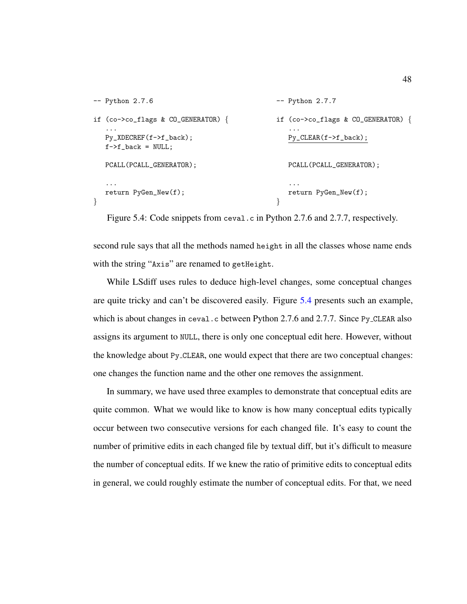```
-- Python 2.7.6
if (co->co_flags & CO_GENERATOR) {
   ...
  Py_XDECREF(f->f_back);
  f->f_back = NULL;
  PCALL(PCALL_GENERATOR);
   ...
  return PyGen_New(f);
}
                                              -- Python 2.7.7
                                             if (co->co_flags & CO_GENERATOR) {
                                                  ...
                                                 Py_CLEAR(f->f_back);
                                                 PCALL(PCALL_GENERATOR);
                                                 ...
                                                 return PyGen_New(f);
                                              }
```
Figure 5.4: Code snippets from ceval.c in Python 2.7.6 and 2.7.7, respectively.

second rule says that all the methods named height in all the classes whose name ends with the string "Axis" are renamed to getHeight.

While LSdiff uses rules to deduce high-level changes, some conceptual changes are quite tricky and can't be discovered easily. Figure [5.4](#page-57-0) presents such an example, which is about changes in ceval.c between Python 2.7.6 and 2.7.7. Since Py\_CLEAR also assigns its argument to NULL, there is only one conceptual edit here. However, without the knowledge about Py CLEAR, one would expect that there are two conceptual changes: one changes the function name and the other one removes the assignment.

In summary, we have used three examples to demonstrate that conceptual edits are quite common. What we would like to know is how many conceptual edits typically occur between two consecutive versions for each changed file. It's easy to count the number of primitive edits in each changed file by textual diff, but it's difficult to measure the number of conceptual edits. If we knew the ratio of primitive edits to conceptual edits in general, we could roughly estimate the number of conceptual edits. For that, we need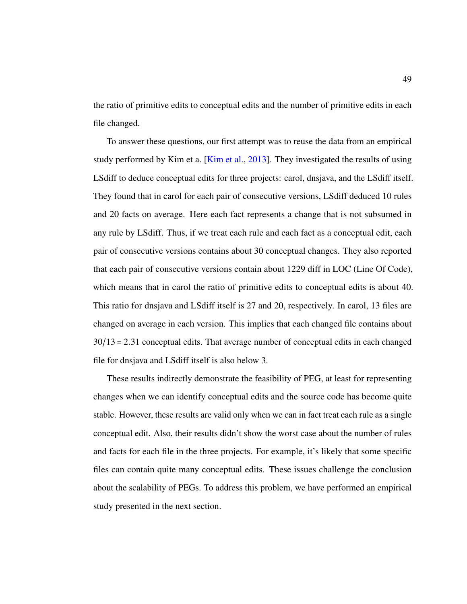the ratio of primitive edits to conceptual edits and the number of primitive edits in each file changed.

To answer these questions, our first attempt was to reuse the data from an empirical study performed by Kim et a. [\[Kim et al.,](#page-71-3) [2013\]](#page-71-3). They investigated the results of using LSdiff to deduce conceptual edits for three projects: carol, dnsjava, and the LSdiff itself. They found that in carol for each pair of consecutive versions, LSdiff deduced 10 rules and 20 facts on average. Here each fact represents a change that is not subsumed in any rule by LSdiff. Thus, if we treat each rule and each fact as a conceptual edit, each pair of consecutive versions contains about 30 conceptual changes. They also reported that each pair of consecutive versions contain about 1229 diff in LOC (Line Of Code), which means that in carol the ratio of primitive edits to conceptual edits is about 40. This ratio for dnsjava and LSdiff itself is 27 and 20, respectively. In carol, 13 files are changed on average in each version. This implies that each changed file contains about 30/13 = 2.31 conceptual edits. That average number of conceptual edits in each changed file for dnsjava and LSdiff itself is also below 3.

These results indirectly demonstrate the feasibility of PEG, at least for representing changes when we can identify conceptual edits and the source code has become quite stable. However, these results are valid only when we can in fact treat each rule as a single conceptual edit. Also, their results didn't show the worst case about the number of rules and facts for each file in the three projects. For example, it's likely that some specific files can contain quite many conceptual edits. These issues challenge the conclusion about the scalability of PEGs. To address this problem, we have performed an empirical study presented in the next section.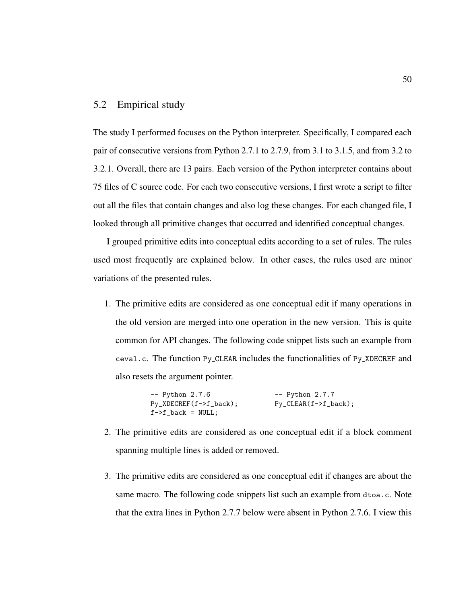# <span id="page-59-0"></span>5.2 Empirical study

The study I performed focuses on the Python interpreter. Specifically, I compared each pair of consecutive versions from Python 2.7.1 to 2.7.9, from 3.1 to 3.1.5, and from 3.2 to 3.2.1. Overall, there are 13 pairs. Each version of the Python interpreter contains about 75 files of C source code. For each two consecutive versions, I first wrote a script to filter out all the files that contain changes and also log these changes. For each changed file, I looked through all primitive changes that occurred and identified conceptual changes.

I grouped primitive edits into conceptual edits according to a set of rules. The rules used most frequently are explained below. In other cases, the rules used are minor variations of the presented rules.

1. The primitive edits are considered as one conceptual edit if many operations in the old version are merged into one operation in the new version. This is quite common for API changes. The following code snippet lists such an example from ceval.c. The function Py CLEAR includes the functionalities of Py XDECREF and also resets the argument pointer.

> -- Python 2.7.6 Py\_XDECREF(f->f\_back);  $f$ -> $f$ \_back = NULL; -- Python 2.7.7 Py\_CLEAR(f->f\_back);

- 2. The primitive edits are considered as one conceptual edit if a block comment spanning multiple lines is added or removed.
- 3. The primitive edits are considered as one conceptual edit if changes are about the same macro. The following code snippets list such an example from dtoa.c. Note that the extra lines in Python 2.7.7 below were absent in Python 2.7.6. I view this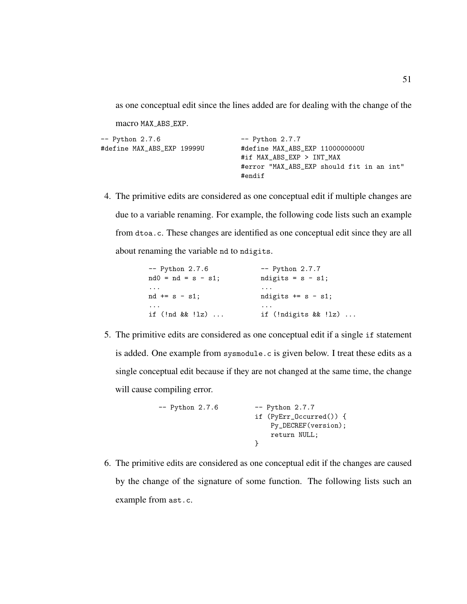as one conceptual edit since the lines added are for dealing with the change of the

macro MAX ABS EXP.

| -- Python 2.7.6            | $--$ Python $2.7.7$                       |
|----------------------------|-------------------------------------------|
| #define MAX ABS EXP 19999U | #define MAX_ABS_EXP 1100000000U           |
|                            | #if MAX_ABS_EXP > INT_MAX                 |
|                            | #error "MAX_ABS_EXP should fit in an int" |
|                            | #endif                                    |

4. The primitive edits are considered as one conceptual edit if multiple changes are due to a variable renaming. For example, the following code lists such an example from dtoa.c. These changes are identified as one conceptual edit since they are all about renaming the variable nd to ndigits.

| $--$ Python $2.7.6$   | $--$ Python $2.7.7$       |  |  |  |  |
|-----------------------|---------------------------|--|--|--|--|
| $nd0 = nd = s - s1$ ; | ndigits = $s - s1$ ;      |  |  |  |  |
| $\cdots$              | $\cdots$                  |  |  |  |  |
| $nd == s - s1$ ;      | ndigits $+= s - s1;$      |  |  |  |  |
| $\cdots$              | $\cdots$                  |  |  |  |  |
| if (!nd && !lz)       | if $(!n$ digits && $!lz)$ |  |  |  |  |

5. The primitive edits are considered as one conceptual edit if a single if statement is added. One example from sysmodule.c is given below. I treat these edits as a single conceptual edit because if they are not changed at the same time, the change will cause compiling error.

| -- Python 2.7.6 | $--$ Python $2.7.7$        |  |  |  |  |
|-----------------|----------------------------|--|--|--|--|
|                 | if $(PyErr\_Occurred())$ { |  |  |  |  |
|                 | Py_DECREF(version);        |  |  |  |  |
|                 | return NULL;               |  |  |  |  |
|                 |                            |  |  |  |  |

6. The primitive edits are considered as one conceptual edit if the changes are caused by the change of the signature of some function. The following lists such an example from ast.c.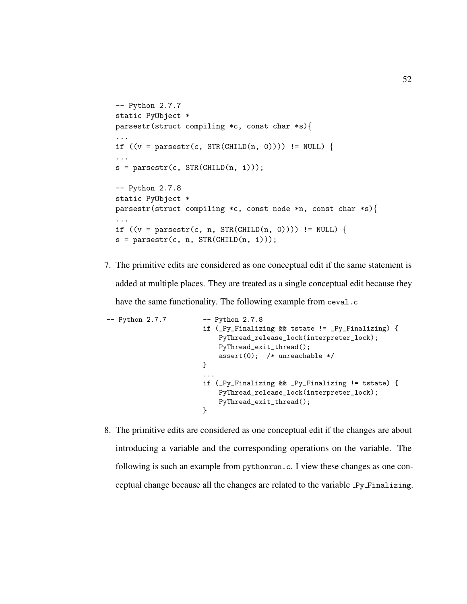```
-- Python 2.7.7
static PyObject *
parsestr(struct compiling *c, const char *s){
...
if ((v = parsestr(c, STR(CHILD(n, 0)))) != NULL) {
...
s = parsestr(c, STR(CHILD(n, i)));
-- Python 2.7.8
static PyObject *
parsestr(struct compiling *c, const node *n, const char *s){
...
if ((v = parsestr(c, n, STR(CHILD(n, 0)))) != NULL) {
s = parsestr(c, n, STR(CHILD(n, i)));
```
7. The primitive edits are considered as one conceptual edit if the same statement is added at multiple places. They are treated as a single conceptual edit because they have the same functionality. The following example from ceval.c

```
-- Python 2.7.7 -- Python 2.7.8
                       if (_Py_Finalizing && tstate != _Py_Finalizing) {
                           PyThread_release_lock(interpreter_lock);
                           PyThread_exit_thread();
                           assert(0); /* unreachable */
                       }
                        ...
                       if (_Py_Finalizing && _Py_Finalizing != tstate) {
                           PyThread_release_lock(interpreter_lock);
                           PyThread_exit_thread();
                       }
```
8. The primitive edits are considered as one conceptual edit if the changes are about introducing a variable and the corresponding operations on the variable. The following is such an example from pythonrun.c. I view these changes as one conceptual change because all the changes are related to the variable Py Finalizing.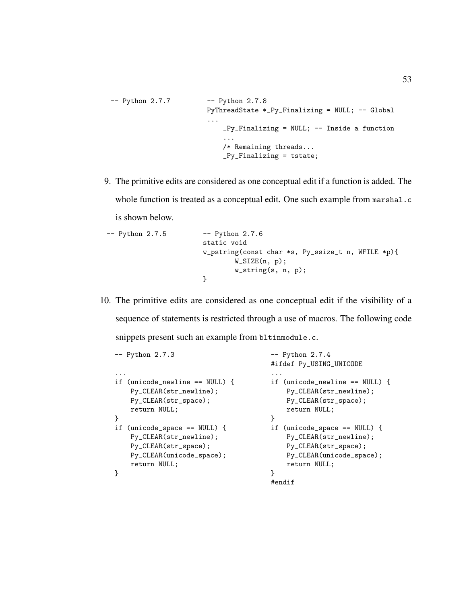```
-- Python 2.7.7 -- Python 2.7.8
                       PyThreadState *_Py_Finalizing = NULL; -- Global
                       ...
                           _Py_Finalizing = NULL; -- Inside a function
                           ...
                           /* Remaining threads...
                           _Py_Finalizing = tstate;
```
9. The primitive edits are considered as one conceptual edit if a function is added. The whole function is treated as a conceptual edit. One such example from marshal.c is shown below.

```
-- Python 2.7.5 -- Python 2.7.6
                      static void
                      w_pstring(const char *s, Py_ssize_t n, WFILE *p){
                              W_SIZE(n, p);w_string(s, n, p);
                      }
```
10. The primitive edits are considered as one conceptual edit if the visibility of a sequence of statements is restricted through a use of macros. The following code snippets present such an example from bltinmodule.c.

```
-- Python 2.7.3
...
if (unicode_newline == NULL) {
   Py_CLEAR(str_newline);
   Py_CLEAR(str_space);
   return NULL;
}
if (unicode_space == NULL) {
   Py_CLEAR(str_newline);
   Py_CLEAR(str_space);
   Py_CLEAR(unicode_space);
   return NULL;
}
                                        -- Python 2.7.4
                                        #ifdef Py_USING_UNICODE
                                        ...
                                        if (unicode_newline == NULL) {
                                            Py_CLEAR(str_newline);
                                            Py_CLEAR(str_space);
                                            return NULL;
                                        }
                                        if (unicode_space == NULL) {
                                            Py_CLEAR(str_newline);
                                            Py_CLEAR(str_space);
                                            Py_CLEAR(unicode_space);
                                            return NULL;
                                        }
                                        #endif
```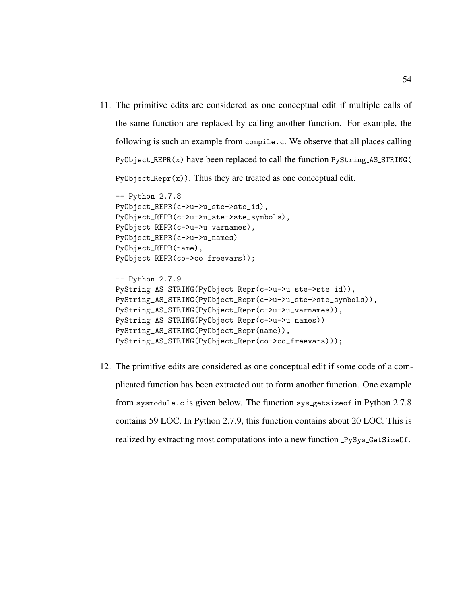11. The primitive edits are considered as one conceptual edit if multiple calls of the same function are replaced by calling another function. For example, the following is such an example from compile.c. We observe that all places calling PyObject REPR(x) have been replaced to call the function PyString AS STRING(  $PyObject_{\text{Repr}}(x)$ . Thus they are treated as one conceptual edit.

```
-- Python 2.7.8
PyObject_REPR(c->u->u_ste->ste_id),
PyObject_REPR(c->u->u_ste->ste_symbols),
PyObject_REPR(c->u->u_varnames),
PyObject_REPR(c->u->u_names)
PyObject_REPR(name),
PyObject_REPR(co->co_freevars));
```

```
-- Python 2.7.9
PyString_AS_STRING(PyObject_Repr(c->u->u_ste->ste_id)),
PyString_AS_STRING(PyObject_Repr(c->u->u_ste->ste_symbols)),
PyString_AS_STRING(PyObject_Repr(c->u->u_varnames)),
PyString_AS_STRING(PyObject_Repr(c->u->u_names))
PyString_AS_STRING(PyObject_Repr(name)),
PyString_AS_STRING(PyObject_Repr(co->co_freevars)));
```
12. The primitive edits are considered as one conceptual edit if some code of a complicated function has been extracted out to form another function. One example from sysmodule.c is given below. The function sys getsizeof in Python 2.7.8 contains 59 LOC. In Python 2.7.9, this function contains about 20 LOC. This is realized by extracting most computations into a new function PySys GetSizeOf.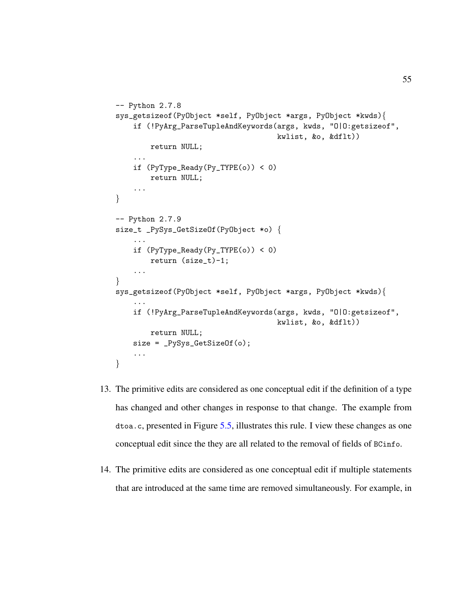```
-- Python 2.7.8
sys_getsizeof(PyObject *self, PyObject *args, PyObject *kwds){
    if (!PyArg_ParseTupleAndKeywords(args, kwds, "O|O:getsizeof",
                                      kwlist, &o, &dflt))
        return NULL;
    ...
    if (PyType_Ready(Py_TYPE(o)) < 0)
       return NULL;
    ...
}
-- Python 2.7.9
size_t _PySys_GetSizeOf(PyObject *o) {
    ...
    if (PyType_Ready(Py_TYPE(o)) < 0)
        return (size_t)-1;
    ...
}
sys_getsizeof(PyObject *self, PyObject *args, PyObject *kwds){
    ...
    if (!PyArg_ParseTupleAndKeywords(args, kwds, "O|O:getsizeof",
                                     kwlist, &o, &dflt))
        return NULL;
    size = _PySys_GetSizeOf(o);
    ...
}
```
- 13. The primitive edits are considered as one conceptual edit if the definition of a type has changed and other changes in response to that change. The example from dtoa.c, presented in Figure [5.5,](#page-65-0) illustrates this rule. I view these changes as one conceptual edit since the they are all related to the removal of fields of BCinfo.
- 14. The primitive edits are considered as one conceptual edit if multiple statements that are introduced at the same time are removed simultaneously. For example, in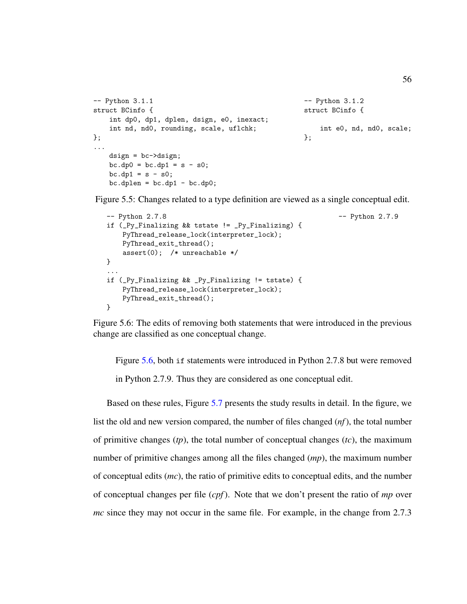```
-- Python 3.1.1
struct BCinfo {
    int dp0, dp1, dplen, dsign, e0, inexact;
    int nd, nd0, rounding, scale, uflchk;
};
...
    dsign = bc->dsign;
    bc \cdot dp0 = bc \cdot dp1 = s - s0;bc \cdot dp1 = s - s0;bc.dplen = bc.dpl - bc.dp0;-- Python 3.1.2
                                                        struct BCinfo {
                                                             int e0, nd, nd0, scale;
                                                        };
```
<span id="page-65-1"></span>Figure 5.5: Changes related to a type definition are viewed as a single conceptual edit.

```
-- Python 2.7.8
if (_Py_Finalizing && tstate != _Py_Finalizing) {
    PyThread_release_lock(interpreter_lock);
    PyThread_exit_thread();
    assert(0); /* unreachable */
}
...
if (_Py_Finalizing && _Py_Finalizing != tstate) {
    PyThread_release_lock(interpreter_lock);
    PyThread_exit_thread();
}
                                                           -- Python 2.7.9
```
Figure 5.6: The edits of removing both statements that were introduced in the previous change are classified as one conceptual change.

Figure [5.6,](#page-65-1) both if statements were introduced in Python 2.7.8 but were removed in Python 2.7.9. Thus they are considered as one conceptual edit.

Based on these rules, Figure [5.7](#page-66-0) presents the study results in detail. In the figure, we list the old and new version compared, the number of files changed (*nf*), the total number of primitive changes (*tp*), the total number of conceptual changes (*tc*), the maximum number of primitive changes among all the files changed (*mp*), the maximum number of conceptual edits (*mc*), the ratio of primitive edits to conceptual edits, and the number of conceptual changes per file (*cpf*). Note that we don't present the ratio of *mp* over *mc* since they may not occur in the same file. For example, in the change from 2.7.3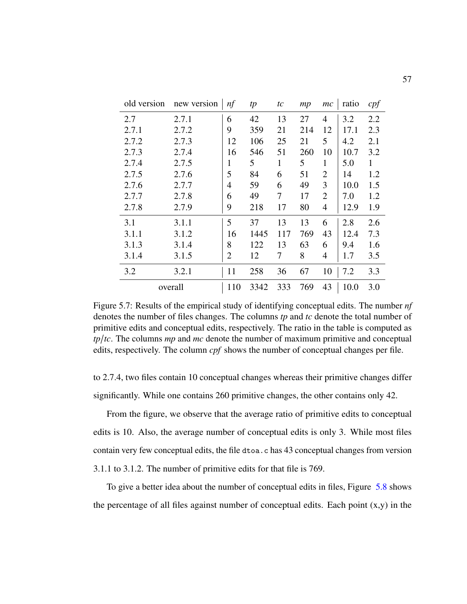<span id="page-66-0"></span>

| old version | new version | nf             | tp   | tc  | mp  | mc             | ratio | cpf |
|-------------|-------------|----------------|------|-----|-----|----------------|-------|-----|
| 2.7         | 2.7.1       | 6              | 42   | 13  | 27  | 4              | 3.2   | 2.2 |
| 2.7.1       | 2.7.2       | 9              | 359  | 21  | 214 | 12             | 17.1  | 2.3 |
| 2.7.2       | 2.7.3       | 12             | 106  | 25  | 21  | 5              | 4.2   | 2.1 |
| 2.7.3       | 2.7.4       | 16             | 546  | 51  | 260 | 10             | 10.7  | 3.2 |
| 2.7.4       | 2.7.5       | 1              | 5    | 1   | 5   | 1              | 5.0   | 1   |
| 2.7.5       | 2.7.6       | 5              | 84   | 6   | 51  | $\overline{2}$ | 14    | 1.2 |
| 2.7.6       | 2.7.7       | 4              | 59   | 6   | 49  | 3              | 10.0  | 1.5 |
| 2.7.7       | 2.7.8       | 6              | 49   | 7   | 17  | $\overline{2}$ | 7.0   | 1.2 |
| 2.7.8       | 2.7.9       | 9              | 218  | 17  | 80  | 4              | 12.9  | 1.9 |
| 3.1         | 3.1.1       | 5              | 37   | 13  | 13  | 6              | 2.8   | 2.6 |
| 3.1.1       | 3.1.2       | 16             | 1445 | 117 | 769 | 43             | 12.4  | 7.3 |
| 3.1.3       | 3.1.4       | 8              | 122  | 13  | 63  | 6              | 9.4   | 1.6 |
| 3.1.4       | 3.1.5       | $\overline{2}$ | 12   | 7   | 8   | $\overline{4}$ | 1.7   | 3.5 |
| 3.2         | 3.2.1       | 11             | 258  | 36  | 67  | 10             | 7.2   | 3.3 |
|             | overall     | 110            | 3342 | 333 | 769 | 43             | 10.0  | 3.0 |

Figure 5.7: Results of the empirical study of identifying conceptual edits. The number *nf* denotes the number of files changes. The columns *tp* and *tc* denote the total number of primitive edits and conceptual edits, respectively. The ratio in the table is computed as *tp*/*tc*. The columns *mp* and *mc* denote the number of maximum primitive and conceptual edits, respectively. The column *cpf* shows the number of conceptual changes per file.

to 2.7.4, two files contain 10 conceptual changes whereas their primitive changes differ significantly. While one contains 260 primitive changes, the other contains only 42.

From the figure, we observe that the average ratio of primitive edits to conceptual edits is 10. Also, the average number of conceptual edits is only 3. While most files contain very few conceptual edits, the file dtoa.c has 43 conceptual changes from version 3.1.1 to 3.1.2. The number of primitive edits for that file is 769.

To give a better idea about the number of conceptual edits in files, Figure [5.8](#page-67-0) shows the percentage of all files against number of conceptual edits. Each point  $(x,y)$  in the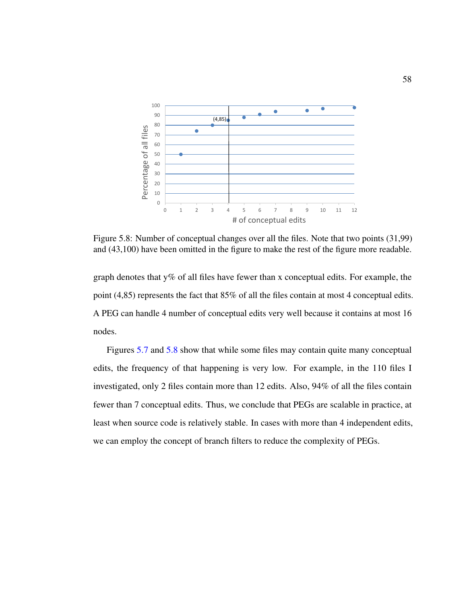<span id="page-67-0"></span>

Figure 5.8: Number of conceptual changes over all the files. Note that two points (31,99) and (43,100) have been omitted in the figure to make the rest of the figure more readable.

graph denotes that  $y\%$  of all files have fewer than x conceptual edits. For example, the point (4,85) represents the fact that 85% of all the files contain at most 4 conceptual edits. A PEG can handle 4 number of conceptual edits very well because it contains at most 16 nodes.

Figures [5.7](#page-66-0) and [5.8](#page-67-0) show that while some files may contain quite many conceptual edits, the frequency of that happening is very low. For example, in the 110 files I investigated, only 2 files contain more than 12 edits. Also, 94% of all the files contain fewer than 7 conceptual edits. Thus, we conclude that PEGs are scalable in practice, at least when source code is relatively stable. In cases with more than 4 independent edits, we can employ the concept of branch filters to reduce the complexity of PEGs.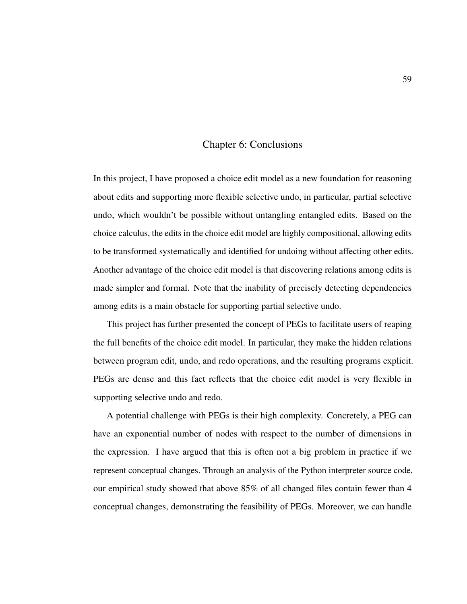# Chapter 6: Conclusions

In this project, I have proposed a choice edit model as a new foundation for reasoning about edits and supporting more flexible selective undo, in particular, partial selective undo, which wouldn't be possible without untangling entangled edits. Based on the choice calculus, the edits in the choice edit model are highly compositional, allowing edits to be transformed systematically and identified for undoing without affecting other edits. Another advantage of the choice edit model is that discovering relations among edits is made simpler and formal. Note that the inability of precisely detecting dependencies among edits is a main obstacle for supporting partial selective undo.

This project has further presented the concept of PEGs to facilitate users of reaping the full benefits of the choice edit model. In particular, they make the hidden relations between program edit, undo, and redo operations, and the resulting programs explicit. PEGs are dense and this fact reflects that the choice edit model is very flexible in supporting selective undo and redo.

A potential challenge with PEGs is their high complexity. Concretely, a PEG can have an exponential number of nodes with respect to the number of dimensions in the expression. I have argued that this is often not a big problem in practice if we represent conceptual changes. Through an analysis of the Python interpreter source code, our empirical study showed that above 85% of all changed files contain fewer than 4 conceptual changes, demonstrating the feasibility of PEGs. Moreover, we can handle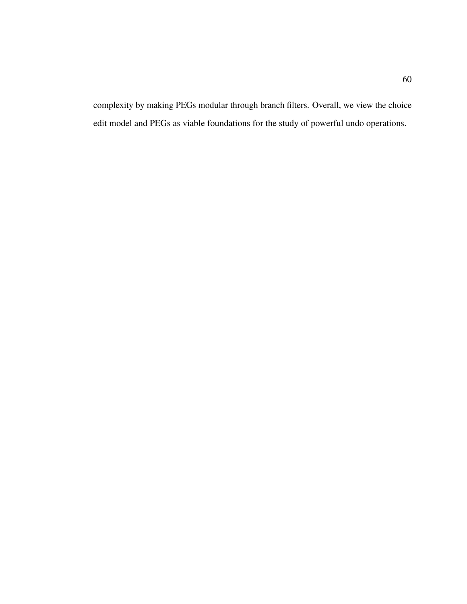complexity by making PEGs modular through branch filters. Overall, we view the choice edit model and PEGs as viable foundations for the study of powerful undo operations.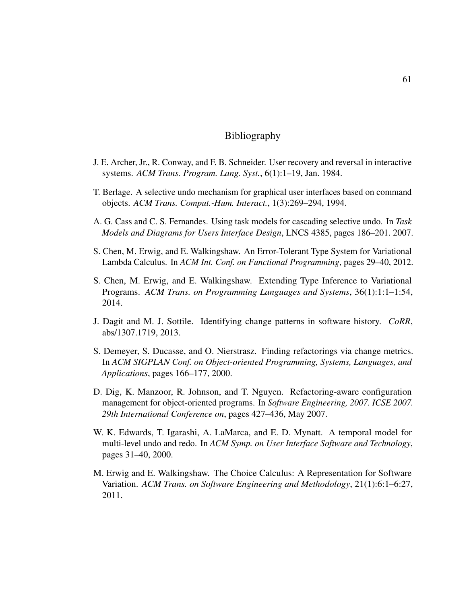# Bibliography

- J. E. Archer, Jr., R. Conway, and F. B. Schneider. User recovery and reversal in interactive systems. *ACM Trans. Program. Lang. Syst.*, 6(1):1–19, Jan. 1984.
- T. Berlage. A selective undo mechanism for graphical user interfaces based on command objects. *ACM Trans. Comput.-Hum. Interact.*, 1(3):269–294, 1994.
- A. G. Cass and C. S. Fernandes. Using task models for cascading selective undo. In *Task Models and Diagrams for Users Interface Design*, LNCS 4385, pages 186–201. 2007.
- S. Chen, M. Erwig, and E. Walkingshaw. An Error-Tolerant Type System for Variational Lambda Calculus. In *ACM Int. Conf. on Functional Programming*, pages 29–40, 2012.
- S. Chen, M. Erwig, and E. Walkingshaw. Extending Type Inference to Variational Programs. *ACM Trans. on Programming Languages and Systems*, 36(1):1:1–1:54, 2014.
- J. Dagit and M. J. Sottile. Identifying change patterns in software history. *CoRR*, abs/1307.1719, 2013.
- S. Demeyer, S. Ducasse, and O. Nierstrasz. Finding refactorings via change metrics. In *ACM SIGPLAN Conf. on Object-oriented Programming, Systems, Languages, and Applications*, pages 166–177, 2000.
- <span id="page-70-0"></span>D. Dig, K. Manzoor, R. Johnson, and T. Nguyen. Refactoring-aware configuration management for object-oriented programs. In *Software Engineering, 2007. ICSE 2007. 29th International Conference on*, pages 427–436, May 2007.
- W. K. Edwards, T. Igarashi, A. LaMarca, and E. D. Mynatt. A temporal model for multi-level undo and redo. In *ACM Symp. on User Interface Software and Technology*, pages 31–40, 2000.
- M. Erwig and E. Walkingshaw. The Choice Calculus: A Representation for Software Variation. *ACM Trans. on Software Engineering and Methodology*, 21(1):6:1–6:27, 2011.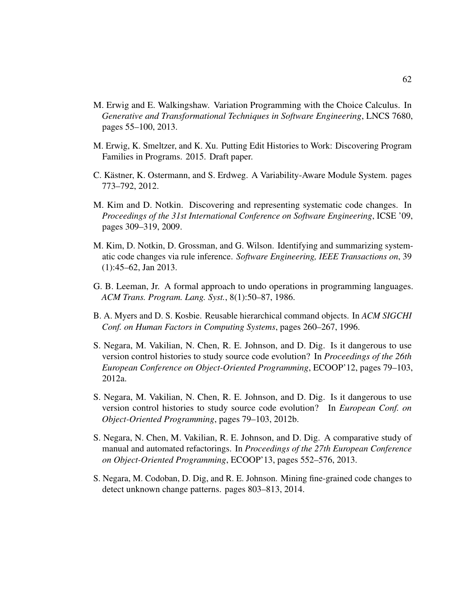- M. Erwig and E. Walkingshaw. Variation Programming with the Choice Calculus. In *Generative and Transformational Techniques in Software Engineering*, LNCS 7680, pages 55–100, 2013.
- M. Erwig, K. Smeltzer, and K. Xu. Putting Edit Histories to Work: Discovering Program Families in Programs. 2015. Draft paper.
- C. Kästner, K. Ostermann, and S. Erdweg. A Variability-Aware Module System. pages 773–792, 2012.
- <span id="page-71-2"></span>M. Kim and D. Notkin. Discovering and representing systematic code changes. In *Proceedings of the 31st International Conference on Software Engineering*, ICSE '09, pages 309–319, 2009.
- <span id="page-71-3"></span>M. Kim, D. Notkin, D. Grossman, and G. Wilson. Identifying and summarizing systematic code changes via rule inference. *Software Engineering, IEEE Transactions on*, 39 (1):45–62, Jan 2013.
- G. B. Leeman, Jr. A formal approach to undo operations in programming languages. *ACM Trans. Program. Lang. Syst.*, 8(1):50–87, 1986.
- B. A. Myers and D. S. Kosbie. Reusable hierarchical command objects. In *ACM SIGCHI Conf. on Human Factors in Computing Systems*, pages 260–267, 1996.
- <span id="page-71-0"></span>S. Negara, M. Vakilian, N. Chen, R. E. Johnson, and D. Dig. Is it dangerous to use version control histories to study source code evolution? In *Proceedings of the 26th European Conference on Object-Oriented Programming*, ECOOP'12, pages 79–103, 2012a.
- S. Negara, M. Vakilian, N. Chen, R. E. Johnson, and D. Dig. Is it dangerous to use version control histories to study source code evolution? In *European Conf. on Object-Oriented Programming*, pages 79–103, 2012b.
- <span id="page-71-1"></span>S. Negara, N. Chen, M. Vakilian, R. E. Johnson, and D. Dig. A comparative study of manual and automated refactorings. In *Proceedings of the 27th European Conference on Object-Oriented Programming*, ECOOP'13, pages 552–576, 2013.
- S. Negara, M. Codoban, D. Dig, and R. E. Johnson. Mining fine-grained code changes to detect unknown change patterns. pages 803–813, 2014.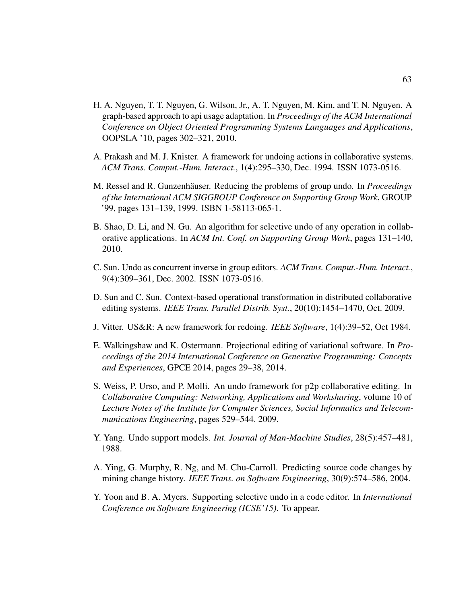- H. A. Nguyen, T. T. Nguyen, G. Wilson, Jr., A. T. Nguyen, M. Kim, and T. N. Nguyen. A graph-based approach to api usage adaptation. In *Proceedings of the ACM International Conference on Object Oriented Programming Systems Languages and Applications*, OOPSLA '10, pages 302–321, 2010.
- A. Prakash and M. J. Knister. A framework for undoing actions in collaborative systems. *ACM Trans. Comput.-Hum. Interact.*, 1(4):295–330, Dec. 1994. ISSN 1073-0516.
- M. Ressel and R. Gunzenhäuser. Reducing the problems of group undo. In *Proceedings of the International ACM SIGGROUP Conference on Supporting Group Work*, GROUP '99, pages 131–139, 1999. ISBN 1-58113-065-1.
- B. Shao, D. Li, and N. Gu. An algorithm for selective undo of any operation in collaborative applications. In *ACM Int. Conf. on Supporting Group Work*, pages 131–140, 2010.
- C. Sun. Undo as concurrent inverse in group editors. *ACM Trans. Comput.-Hum. Interact.*, 9(4):309–361, Dec. 2002. ISSN 1073-0516.
- D. Sun and C. Sun. Context-based operational transformation in distributed collaborative editing systems. *IEEE Trans. Parallel Distrib. Syst.*, 20(10):1454–1470, Oct. 2009.
- J. Vitter. US&R: A new framework for redoing. *IEEE Software*, 1(4):39–52, Oct 1984.
- E. Walkingshaw and K. Ostermann. Projectional editing of variational software. In *Proceedings of the 2014 International Conference on Generative Programming: Concepts and Experiences*, GPCE 2014, pages 29–38, 2014.
- S. Weiss, P. Urso, and P. Molli. An undo framework for p2p collaborative editing. In *Collaborative Computing: Networking, Applications and Worksharing*, volume 10 of *Lecture Notes of the Institute for Computer Sciences, Social Informatics and Telecommunications Engineering*, pages 529–544. 2009.
- Y. Yang. Undo support models. *Int. Journal of Man-Machine Studies*, 28(5):457–481, 1988.
- A. Ying, G. Murphy, R. Ng, and M. Chu-Carroll. Predicting source code changes by mining change history. *IEEE Trans. on Software Engineering*, 30(9):574–586, 2004.
- Y. Yoon and B. A. Myers. Supporting selective undo in a code editor. In *International Conference on Software Engineering (ICSE'15)*. To appear.